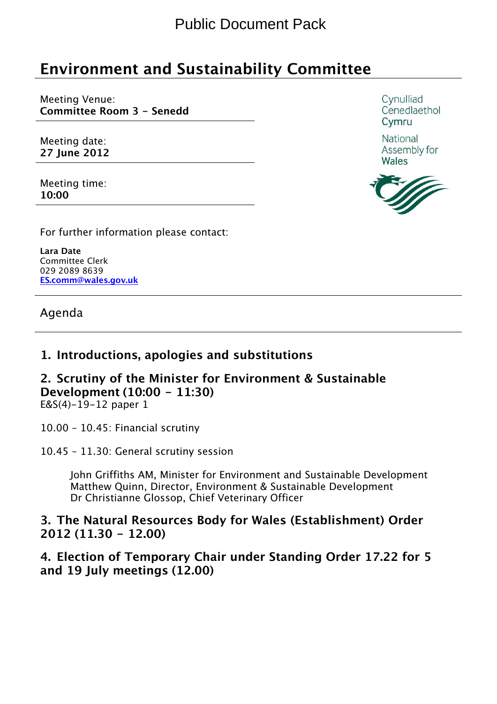## Environment and Sustainability Committee

Meeting Venue: Committee Room 3 - Senedd

Meeting date: 27 June 2012

Meeting time: 10:00

For further information please contact:

Lara Date Committee Clerk 029 2089 8639 ES.comm@wales.gov.uk

Agenda

#### 1. Introductions, apologies and substitutions

## 2. Scrutiny of the Minister for Environment & Sustainable Development (10:00 - 11:30)

E&S(4)-19-12 paper 1

10.00 – 10.45: Financial scrutiny

10.45 – 11.30: General scrutiny session

John Griffiths AM, Minister for Environment and Sustainable Development Matthew Quinn, Director, Environment & Sustainable Development Dr Christianne Glossop, Chief Veterinary Officer

#### 3. The Natural Resources Body for Wales (Establishment) Order 2012 (11.30 - 12.00)

4. Election of Temporary Chair under Standing Order 17.22 for 5 and 19 July meetings (12.00)

Cynulliad Cenedlaethol Cymru

National Assembly for Wales

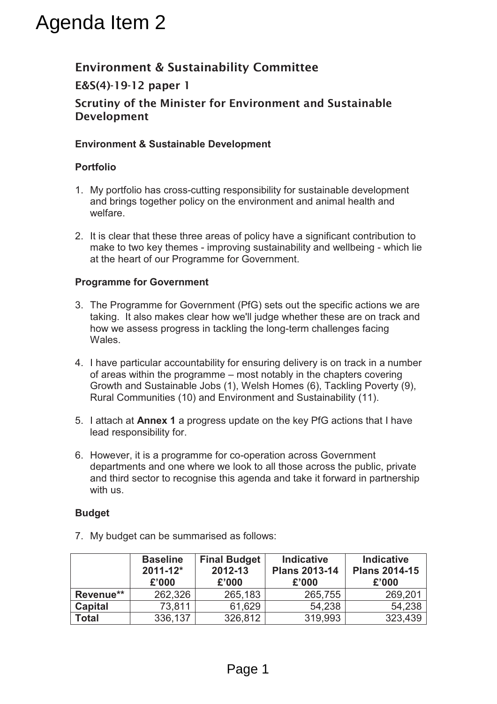## Agenda Item 2

## **Environment & Sustainability Committee**

#### **E&S(4)-19-12 paper 1**

#### **Scrutiny of the Minister for Environment and Sustainable Development**

#### **Environment & Sustainable Development**

#### **Portfolio**

- 1. My portfolio has cross-cutting responsibility for sustainable development and brings together policy on the environment and animal health and welfare.
- 2. It is clear that these three areas of policy have a significant contribution to make to two key themes - improving sustainability and wellbeing - which lie at the heart of our Programme for Government.

#### **Programme for Government**

- 3. The Programme for Government (PfG) sets out the specific actions we are taking. It also makes clear how we'll judge whether these are on track and how we assess progress in tackling the long-term challenges facing Wales.
- 4. I have particular accountability for ensuring delivery is on track in a number of areas within the programme – most notably in the chapters covering Growth and Sustainable Jobs (1), Welsh Homes (6), Tackling Poverty (9), Rural Communities (10) and Environment and Sustainability (11).
- 5. I attach at **Annex 1** a progress update on the key PfG actions that I have lead responsibility for.
- 6. However, it is a programme for co-operation across Government departments and one where we look to all those across the public, private and third sector to recognise this agenda and take it forward in partnership with us.

#### **Budget**

7. My budget can be summarised as follows:

|                | <b>Baseline</b><br>$2011 - 12$ *<br>£'000 | <b>Final Budget</b><br>2012-13<br>£'000 | <b>Indicative</b><br><b>Plans 2013-14</b><br>£'000 | <b>Indicative</b><br><b>Plans 2014-15</b><br>£'000 |
|----------------|-------------------------------------------|-----------------------------------------|----------------------------------------------------|----------------------------------------------------|
| Revenue**      | 262,326                                   | 265,183                                 | 265,755                                            | 269,201                                            |
| <b>Capital</b> | 73,811                                    | 61,629                                  | 54,238                                             | 54,238                                             |
| <b>Total</b>   | 336,137                                   | 326,812                                 | 319,993                                            | 323,439                                            |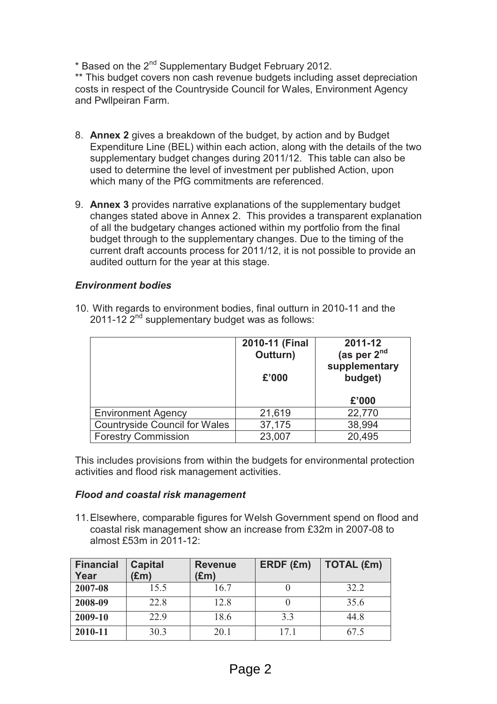\* Based on the 2nd Supplementary Budget February 2012.

\*\* This budget covers non cash revenue budgets including asset depreciation costs in respect of the Countryside Council for Wales, Environment Agency and Pwllpeiran Farm.

- 8. **Annex 2** gives a breakdown of the budget, by action and by Budget Expenditure Line (BEL) within each action, along with the details of the two supplementary budget changes during 2011/12. This table can also be used to determine the level of investment per published Action, upon which many of the PfG commitments are referenced.
- 9. **Annex 3** provides narrative explanations of the supplementary budget changes stated above in Annex 2. This provides a transparent explanation of all the budgetary changes actioned within my portfolio from the final budget through to the supplementary changes. Due to the timing of the current draft accounts process for 2011/12, it is not possible to provide an audited outturn for the year at this stage.

#### *Environment bodies*

|                                      | 2010-11 (Final<br>Outturn)<br>£'000 | 2011-12<br>(as per $2nd$<br>supplementary<br>budget) |
|--------------------------------------|-------------------------------------|------------------------------------------------------|
|                                      |                                     | £'000                                                |
| <b>Environment Agency</b>            | 21,619                              | 22,770                                               |
| <b>Countryside Council for Wales</b> | 37,175                              | 38,994                                               |
| <b>Forestry Commission</b>           | 23,007                              | 20,495                                               |

10. With regards to environment bodies, final outturn in 2010-11 and the 2011-12  $2<sup>nd</sup>$  supplementary budget was as follows:

This includes provisions from within the budgets for environmental protection activities and flood risk management activities.

#### *Flood and coastal risk management*

11. Elsewhere, comparable figures for Welsh Government spend on flood and coastal risk management show an increase from £32m in 2007-08 to almost £53m in 2011-12:

| <b>Financial</b><br>Year | <b>Capital</b><br>$(\text{Em})$ | <b>Revenue</b><br>(£m) | ERDF (£m) | <b>TOTAL (£m)</b> |
|--------------------------|---------------------------------|------------------------|-----------|-------------------|
| 2007-08                  | 15.5                            | 16.7                   |           | 32.2              |
| 2008-09                  | 22.8                            | 12.8                   |           | 35.6              |
| 2009-10                  | 22.9                            | 18.6                   | 3.3       | 44.8              |
| 2010-11                  | 30.3                            | 20.1                   | 171       | 67.5              |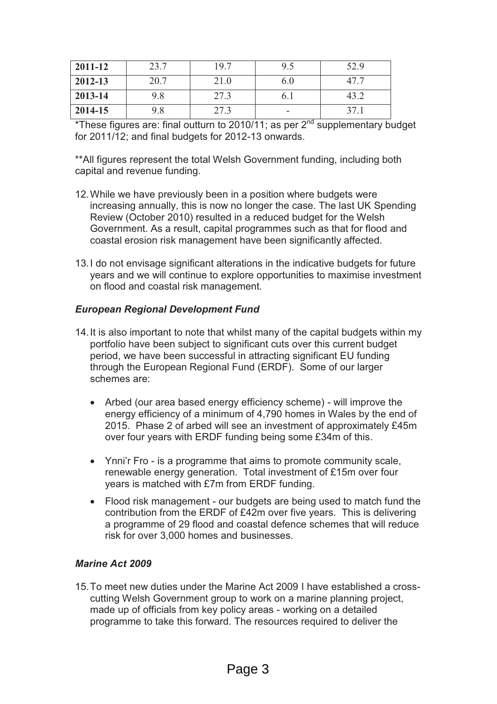| 2011-12 | 23.7 | 19.7 | 9.5  | 52.9 |
|---------|------|------|------|------|
| 2012-13 | 20.7 | 21.0 | 6.0  | 47.7 |
| 2013-14 | 9.8  | 27.3 | 0. I | 43.2 |
| 2014-15 | 9.8  | 27.3 | -    | 37.1 |

\*These figures are: final outturn to 2010/11; as per  $2<sup>nd</sup>$  supplementary budget for 2011/12; and final budgets for 2012-13 onwards.

\*\*All figures represent the total Welsh Government funding, including both capital and revenue funding.

- 12. While we have previously been in a position where budgets were increasing annually, this is now no longer the case. The last UK Spending Review (October 2010) resulted in a reduced budget for the Welsh Government. As a result, capital programmes such as that for flood and coastal erosion risk management have been significantly affected.
- 13. I do not envisage significant alterations in the indicative budgets for future years and we will continue to explore opportunities to maximise investment on flood and coastal risk management.

#### *European Regional Development Fund*

- 14. It is also important to note that whilst many of the capital budgets within my portfolio have been subject to significant cuts over this current budget period, we have been successful in attracting significant EU funding through the European Regional Fund (ERDF). Some of our larger schemes are:
	- · Arbed (our area based energy efficiency scheme) will improve the energy efficiency of a minimum of 4,790 homes in Wales by the end of 2015. Phase 2 of arbed will see an investment of approximately £45m over four years with ERDF funding being some £34m of this.
	- · Ynni'r Fro is a programme that aims to promote community scale, renewable energy generation. Total investment of £15m over four years is matched with £7m from ERDF funding.
	- · Flood risk management our budgets are being used to match fund the contribution from the ERDF of £42m over five years. This is delivering a programme of 29 flood and coastal defence schemes that will reduce risk for over 3,000 homes and businesses.

#### *Marine Act 2009*

15. To meet new duties under the Marine Act 2009 I have established a crosscutting Welsh Government group to work on a marine planning project, made up of officials from key policy areas - working on a detailed programme to take this forward. The resources required to deliver the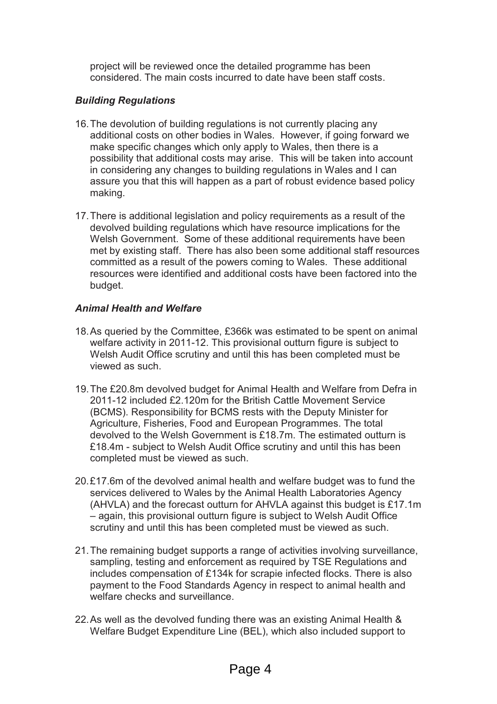project will be reviewed once the detailed programme has been considered. The main costs incurred to date have been staff costs.

#### *Building Regulations*

- 16. The devolution of building regulations is not currently placing any additional costs on other bodies in Wales. However, if going forward we make specific changes which only apply to Wales, then there is a possibility that additional costs may arise. This will be taken into account in considering any changes to building regulations in Wales and I can assure you that this will happen as a part of robust evidence based policy making.
- 17. There is additional legislation and policy requirements as a result of the devolved building regulations which have resource implications for the Welsh Government. Some of these additional requirements have been met by existing staff. There has also been some additional staff resources committed as a result of the powers coming to Wales. These additional resources were identified and additional costs have been factored into the budget.

#### *Animal Health and Welfare*

- 18. As queried by the Committee, £366k was estimated to be spent on animal welfare activity in 2011-12. This provisional outturn figure is subject to Welsh Audit Office scrutiny and until this has been completed must be viewed as such.
- 19. The £20.8m devolved budget for Animal Health and Welfare from Defra in 2011-12 included £2.120m for the British Cattle Movement Service (BCMS). Responsibility for BCMS rests with the Deputy Minister for Agriculture, Fisheries, Food and European Programmes. The total devolved to the Welsh Government is £18.7m. The estimated outturn is £18.4m - subject to Welsh Audit Office scrutiny and until this has been completed must be viewed as such.
- 20. £17.6m of the devolved animal health and welfare budget was to fund the services delivered to Wales by the Animal Health Laboratories Agency (AHVLA) and the forecast outturn for AHVLA against this budget is £17.1m – again, this provisional outturn figure is subject to Welsh Audit Office scrutiny and until this has been completed must be viewed as such.
- 21. The remaining budget supports a range of activities involving surveillance, sampling, testing and enforcement as required by TSE Regulations and includes compensation of £134k for scrapie infected flocks. There is also payment to the Food Standards Agency in respect to animal health and welfare checks and surveillance.
- 22. As well as the devolved funding there was an existing Animal Health & Welfare Budget Expenditure Line (BEL), which also included support to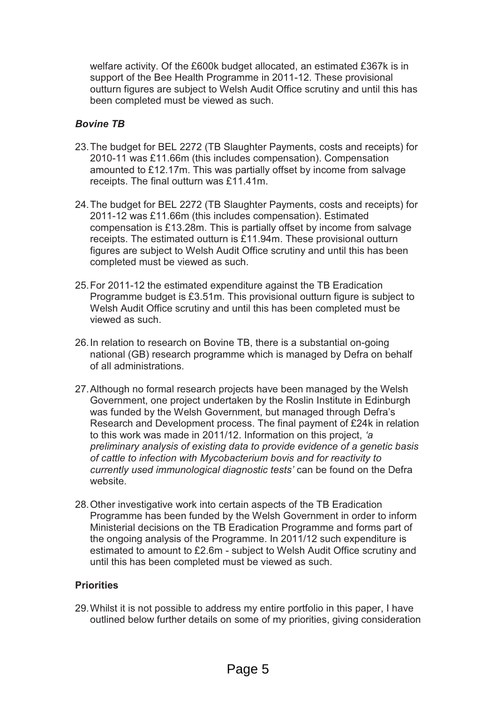welfare activity. Of the £600k budget allocated, an estimated £367k is in support of the Bee Health Programme in 2011-12. These provisional outturn figures are subject to Welsh Audit Office scrutiny and until this has been completed must be viewed as such.

#### *Bovine TB*

- 23. The budget for BEL 2272 (TB Slaughter Payments, costs and receipts) for 2010-11 was £11.66m (this includes compensation). Compensation amounted to £12.17m. This was partially offset by income from salvage receipts. The final outturn was £11.41m.
- 24. The budget for BEL 2272 (TB Slaughter Payments, costs and receipts) for 2011-12 was £11.66m (this includes compensation). Estimated compensation is £13.28m. This is partially offset by income from salvage receipts. The estimated outturn is £11.94m. These provisional outturn figures are subject to Welsh Audit Office scrutiny and until this has been completed must be viewed as such.
- 25. For 2011-12 the estimated expenditure against the TB Eradication Programme budget is £3.51m. This provisional outturn figure is subject to Welsh Audit Office scrutiny and until this has been completed must be viewed as such.
- 26. In relation to research on Bovine TB, there is a substantial on-going national (GB) research programme which is managed by Defra on behalf of all administrations.
- 27. Although no formal research projects have been managed by the Welsh Government, one project undertaken by the Roslin Institute in Edinburgh was funded by the Welsh Government, but managed through Defra's Research and Development process. The final payment of £24k in relation to this work was made in 2011/12. Information on this project, *'a preliminary analysis of existing data to provide evidence of a genetic basis of cattle to infection with Mycobacterium bovis and for reactivity to currently used immunological diagnostic tests'* can be found on the Defra website.
- 28. Other investigative work into certain aspects of the TB Eradication Programme has been funded by the Welsh Government in order to inform Ministerial decisions on the TB Eradication Programme and forms part of the ongoing analysis of the Programme. In 2011/12 such expenditure is estimated to amount to £2.6m - subject to Welsh Audit Office scrutiny and until this has been completed must be viewed as such.

#### **Priorities**

29. Whilst it is not possible to address my entire portfolio in this paper, I have outlined below further details on some of my priorities, giving consideration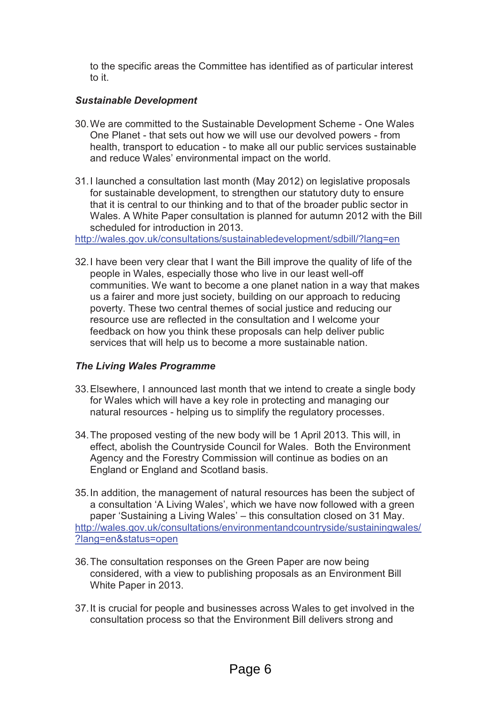to the specific areas the Committee has identified as of particular interest to it.

#### *Sustainable Development*

- 30. We are committed to the Sustainable Development Scheme One Wales One Planet - that sets out how we will use our devolved powers - from health, transport to education - to make all our public services sustainable and reduce Wales' environmental impact on the world.
- 31. I launched a consultation last month (May 2012) on legislative proposals for sustainable development, to strengthen our statutory duty to ensure that it is central to our thinking and to that of the broader public sector in Wales. A White Paper consultation is planned for autumn 2012 with the Bill scheduled for introduction in 2013.

http://wales.gov.uk/consultations/sustainabledevelopment/sdbill/?lang=en

32. I have been very clear that I want the Bill improve the quality of life of the people in Wales, especially those who live in our least well-off communities. We want to become a one planet nation in a way that makes us a fairer and more just society, building on our approach to reducing poverty. These two central themes of social justice and reducing our resource use are reflected in the consultation and I welcome your feedback on how you think these proposals can help deliver public services that will help us to become a more sustainable nation.

#### *The Living Wales Programme*

- 33. Elsewhere, I announced last month that we intend to create a single body for Wales which will have a key role in protecting and managing our natural resources - helping us to simplify the regulatory processes.
- 34. The proposed vesting of the new body will be 1 April 2013. This will, in effect, abolish the Countryside Council for Wales. Both the Environment Agency and the Forestry Commission will continue as bodies on an England or England and Scotland basis.
- 35. In addition, the management of natural resources has been the subject of a consultation 'A Living Wales', which we have now followed with a green paper 'Sustaining a Living Wales' – this consultation closed on 31 May. http://wales.gov.uk/consultations/environmentandcountryside/sustainingwales/ ?lang=en&status=open
- 36. The consultation responses on the Green Paper are now being considered, with a view to publishing proposals as an Environment Bill White Paper in 2013.
- 37. It is crucial for people and businesses across Wales to get involved in the consultation process so that the Environment Bill delivers strong and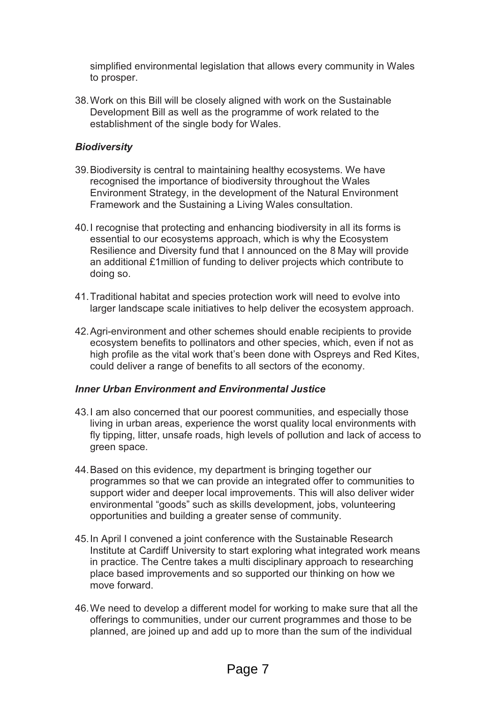simplified environmental legislation that allows every community in Wales to prosper.

38. Work on this Bill will be closely aligned with work on the Sustainable Development Bill as well as the programme of work related to the establishment of the single body for Wales.

#### *Biodiversity*

- 39. Biodiversity is central to maintaining healthy ecosystems. We have recognised the importance of biodiversity throughout the Wales Environment Strategy, in the development of the Natural Environment Framework and the Sustaining a Living Wales consultation.
- 40. I recognise that protecting and enhancing biodiversity in all its forms is essential to our ecosystems approach, which is why the Ecosystem Resilience and Diversity fund that I announced on the 8 May will provide an additional £1million of funding to deliver projects which contribute to doing so.
- 41. Traditional habitat and species protection work will need to evolve into larger landscape scale initiatives to help deliver the ecosystem approach.
- 42. Agri-environment and other schemes should enable recipients to provide ecosystem benefits to pollinators and other species, which, even if not as high profile as the vital work that's been done with Ospreys and Red Kites, could deliver a range of benefits to all sectors of the economy.

#### *Inner Urban Environment and Environmental Justice*

- 43. I am also concerned that our poorest communities, and especially those living in urban areas, experience the worst quality local environments with fly tipping, litter, unsafe roads, high levels of pollution and lack of access to green space.
- 44. Based on this evidence, my department is bringing together our programmes so that we can provide an integrated offer to communities to support wider and deeper local improvements. This will also deliver wider environmental "goods" such as skills development, jobs, volunteering opportunities and building a greater sense of community.
- 45. In April I convened a joint conference with the Sustainable Research Institute at Cardiff University to start exploring what integrated work means in practice. The Centre takes a multi disciplinary approach to researching place based improvements and so supported our thinking on how we move forward.
- 46. We need to develop a different model for working to make sure that all the offerings to communities, under our current programmes and those to be planned, are joined up and add up to more than the sum of the individual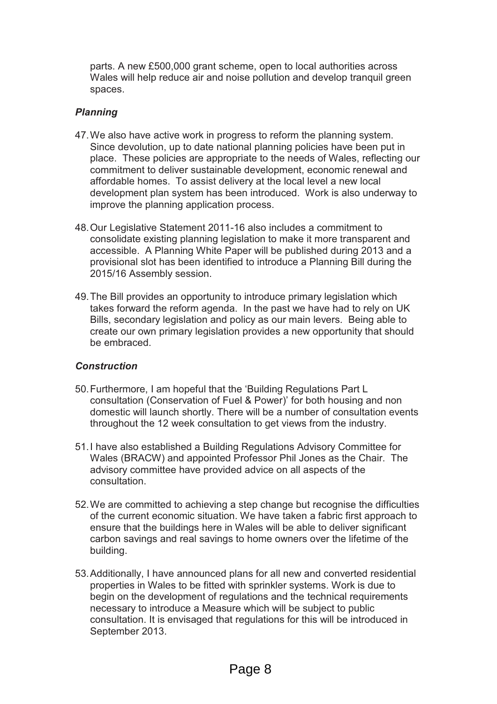parts. A new £500,000 grant scheme, open to local authorities across Wales will help reduce air and noise pollution and develop tranquil green spaces.

#### *Planning*

- 47. We also have active work in progress to reform the planning system. Since devolution, up to date national planning policies have been put in place. These policies are appropriate to the needs of Wales, reflecting our commitment to deliver sustainable development, economic renewal and affordable homes. To assist delivery at the local level a new local development plan system has been introduced. Work is also underway to improve the planning application process.
- 48. Our Legislative Statement 2011-16 also includes a commitment to consolidate existing planning legislation to make it more transparent and accessible. A Planning White Paper will be published during 2013 and a provisional slot has been identified to introduce a Planning Bill during the 2015/16 Assembly session.
- 49. The Bill provides an opportunity to introduce primary legislation which takes forward the reform agenda. In the past we have had to rely on UK Bills, secondary legislation and policy as our main levers. Being able to create our own primary legislation provides a new opportunity that should be embraced.

#### *Construction*

- 50. Furthermore, I am hopeful that the 'Building Regulations Part L consultation (Conservation of Fuel & Power)' for both housing and non domestic will launch shortly. There will be a number of consultation events throughout the 12 week consultation to get views from the industry.
- 51. I have also established a Building Regulations Advisory Committee for Wales (BRACW) and appointed Professor Phil Jones as the Chair. The advisory committee have provided advice on all aspects of the consultation.
- 52. We are committed to achieving a step change but recognise the difficulties of the current economic situation. We have taken a fabric first approach to ensure that the buildings here in Wales will be able to deliver significant carbon savings and real savings to home owners over the lifetime of the building.
- 53. Additionally, I have announced plans for all new and converted residential properties in Wales to be fitted with sprinkler systems. Work is due to begin on the development of regulations and the technical requirements necessary to introduce a Measure which will be subject to public consultation. It is envisaged that regulations for this will be introduced in September 2013.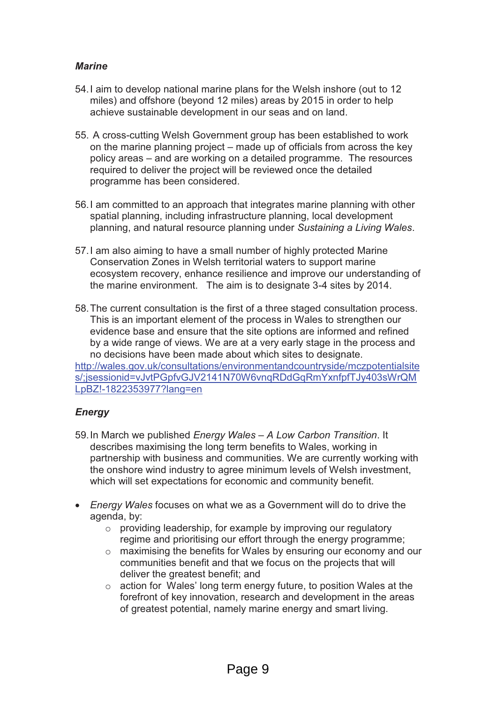#### *Marine*

- 54. I aim to develop national marine plans for the Welsh inshore (out to 12 miles) and offshore (beyond 12 miles) areas by 2015 in order to help achieve sustainable development in our seas and on land.
- 55. A cross-cutting Welsh Government group has been established to work on the marine planning project – made up of officials from across the key policy areas – and are working on a detailed programme. The resources required to deliver the project will be reviewed once the detailed programme has been considered.
- 56. I am committed to an approach that integrates marine planning with other spatial planning, including infrastructure planning, local development planning, and natural resource planning under *Sustaining a Living Wales*.
- 57. I am also aiming to have a small number of highly protected Marine Conservation Zones in Welsh territorial waters to support marine ecosystem recovery, enhance resilience and improve our understanding of the marine environment. The aim is to designate 3-4 sites by 2014.
- 58. The current consultation is the first of a three staged consultation process. This is an important element of the process in Wales to strengthen our evidence base and ensure that the site options are informed and refined by a wide range of views. We are at a very early stage in the process and no decisions have been made about which sites to designate. http://wales.gov.uk/consultations/environmentandcountryside/mczpotentialsite

s/;jsessionid=vJvtPGpfvGJV2141N70W6vnqRDdGqRmYxnfpfTJy403sWrQM LpBZ!-1822353977?lang=en

#### *Energy*

- 59. In March we published *Energy Wales – A Low Carbon Transition*. It describes maximising the long term benefits to Wales, working in partnership with business and communities. We are currently working with the onshore wind industry to agree minimum levels of Welsh investment, which will set expectations for economic and community benefit.
- · *Energy Wales* focuses on what we as a Government will do to drive the agenda, by:
	- o providing leadership, for example by improving our regulatory regime and prioritising our effort through the energy programme;
	- o maximising the benefits for Wales by ensuring our economy and our communities benefit and that we focus on the projects that will deliver the greatest benefit; and
	- o action for Wales' long term energy future, to position Wales at the forefront of key innovation, research and development in the areas of greatest potential, namely marine energy and smart living.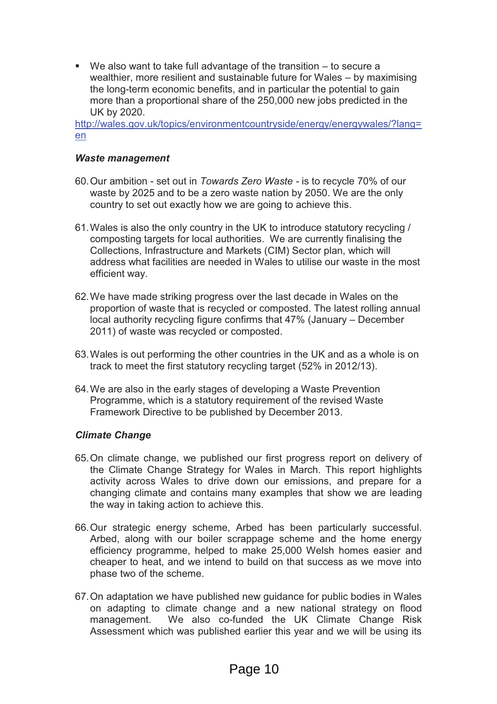■ We also want to take full advantage of the transition – to secure a wealthier, more resilient and sustainable future for Wales – by maximising the long-term economic benefits, and in particular the potential to gain more than a proportional share of the 250,000 new jobs predicted in the UK by 2020.

http://wales.gov.uk/topics/environmentcountryside/energy/energywales/?lang= en

#### *Waste management*

- 60. Our ambition set out in *Towards Zero Waste -* is to recycle 70% of our waste by 2025 and to be a zero waste nation by 2050. We are the only country to set out exactly how we are going to achieve this.
- 61. Wales is also the only country in the UK to introduce statutory recycling / composting targets for local authorities. We are currently finalising the Collections, Infrastructure and Markets (CIM) Sector plan, which will address what facilities are needed in Wales to utilise our waste in the most efficient way.
- 62. We have made striking progress over the last decade in Wales on the proportion of waste that is recycled or composted. The latest rolling annual local authority recycling figure confirms that 47% (January – December 2011) of waste was recycled or composted.
- 63. Wales is out performing the other countries in the UK and as a whole is on track to meet the first statutory recycling target (52% in 2012/13).
- 64. We are also in the early stages of developing a Waste Prevention Programme, which is a statutory requirement of the revised Waste Framework Directive to be published by December 2013.

#### *Climate Change*

- 65. On climate change, we published our first progress report on delivery of the Climate Change Strategy for Wales in March. This report highlights activity across Wales to drive down our emissions, and prepare for a changing climate and contains many examples that show we are leading the way in taking action to achieve this.
- 66. Our strategic energy scheme, Arbed has been particularly successful. Arbed, along with our boiler scrappage scheme and the home energy efficiency programme, helped to make 25,000 Welsh homes easier and cheaper to heat, and we intend to build on that success as we move into phase two of the scheme.
- 67. On adaptation we have published new guidance for public bodies in Wales on adapting to climate change and a new national strategy on flood management. We also co-funded the UK Climate Change Risk Assessment which was published earlier this year and we will be using its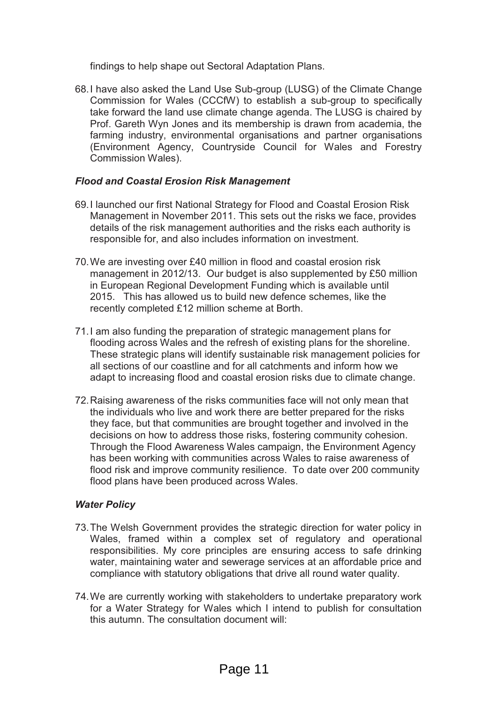findings to help shape out Sectoral Adaptation Plans.

68. I have also asked the Land Use Sub-group (LUSG) of the Climate Change Commission for Wales (CCCfW) to establish a sub-group to specifically take forward the land use climate change agenda. The LUSG is chaired by Prof. Gareth Wyn Jones and its membership is drawn from academia, the farming industry, environmental organisations and partner organisations (Environment Agency, Countryside Council for Wales and Forestry Commission Wales).

#### *Flood and Coastal Erosion Risk Management*

- 69. I launched our first National Strategy for Flood and Coastal Erosion Risk Management in November 2011. This sets out the risks we face, provides details of the risk management authorities and the risks each authority is responsible for, and also includes information on investment.
- 70. We are investing over £40 million in flood and coastal erosion risk management in 2012/13. Our budget is also supplemented by £50 million in European Regional Development Funding which is available until 2015. This has allowed us to build new defence schemes, like the recently completed £12 million scheme at Borth.
- 71. I am also funding the preparation of strategic management plans for flooding across Wales and the refresh of existing plans for the shoreline. These strategic plans will identify sustainable risk management policies for all sections of our coastline and for all catchments and inform how we adapt to increasing flood and coastal erosion risks due to climate change.
- 72. Raising awareness of the risks communities face will not only mean that the individuals who live and work there are better prepared for the risks they face, but that communities are brought together and involved in the decisions on how to address those risks, fostering community cohesion. Through the Flood Awareness Wales campaign, the Environment Agency has been working with communities across Wales to raise awareness of flood risk and improve community resilience. To date over 200 community flood plans have been produced across Wales.

#### *Water Policy*

- 73. The Welsh Government provides the strategic direction for water policy in Wales, framed within a complex set of regulatory and operational responsibilities. My core principles are ensuring access to safe drinking water, maintaining water and sewerage services at an affordable price and compliance with statutory obligations that drive all round water quality.
- 74. We are currently working with stakeholders to undertake preparatory work for a Water Strategy for Wales which I intend to publish for consultation this autumn. The consultation document will: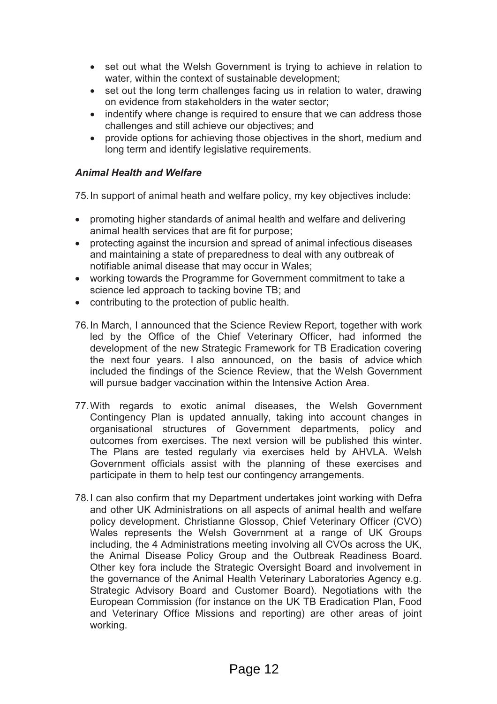- set out what the Welsh Government is trying to achieve in relation to water, within the context of sustainable development;
- set out the long term challenges facing us in relation to water, drawing on evidence from stakeholders in the water sector;
- indentify where change is required to ensure that we can address those challenges and still achieve our objectives; and
- · provide options for achieving those objectives in the short, medium and long term and identify legislative requirements.

#### *Animal Health and Welfare*

75. In support of animal heath and welfare policy, my key objectives include:

- · promoting higher standards of animal health and welfare and delivering animal health services that are fit for purpose;
- · protecting against the incursion and spread of animal infectious diseases and maintaining a state of preparedness to deal with any outbreak of notifiable animal disease that may occur in Wales;
- · working towards the Programme for Government commitment to take a science led approach to tacking bovine TB; and
- · contributing to the protection of public health.
- 76. In March, I announced that the Science Review Report, together with work led by the Office of the Chief Veterinary Officer, had informed the development of the new Strategic Framework for TB Eradication covering the next four years. I also announced, on the basis of advice which included the findings of the Science Review, that the Welsh Government will pursue badger vaccination within the Intensive Action Area.
- 77. With regards to exotic animal diseases, the Welsh Government Contingency Plan is updated annually, taking into account changes in organisational structures of Government departments, policy and outcomes from exercises. The next version will be published this winter. The Plans are tested regularly via exercises held by AHVLA. Welsh Government officials assist with the planning of these exercises and participate in them to help test our contingency arrangements.
- 78. I can also confirm that my Department undertakes joint working with Defra and other UK Administrations on all aspects of animal health and welfare policy development. Christianne Glossop, Chief Veterinary Officer (CVO) Wales represents the Welsh Government at a range of UK Groups including, the 4 Administrations meeting involving all CVOs across the UK, the Animal Disease Policy Group and the Outbreak Readiness Board. Other key fora include the Strategic Oversight Board and involvement in the governance of the Animal Health Veterinary Laboratories Agency e.g. Strategic Advisory Board and Customer Board). Negotiations with the European Commission (for instance on the UK TB Eradication Plan, Food and Veterinary Office Missions and reporting) are other areas of joint working.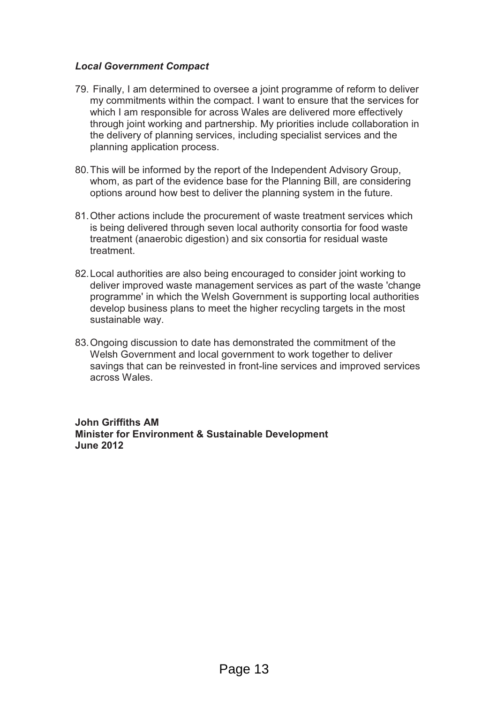#### *Local Government Compact*

- 79. Finally, I am determined to oversee a joint programme of reform to deliver my commitments within the compact. I want to ensure that the services for which I am responsible for across Wales are delivered more effectively through joint working and partnership. My priorities include collaboration in the delivery of planning services, including specialist services and the planning application process.
- 80. This will be informed by the report of the Independent Advisory Group, whom, as part of the evidence base for the Planning Bill, are considering options around how best to deliver the planning system in the future.
- 81. Other actions include the procurement of waste treatment services which is being delivered through seven local authority consortia for food waste treatment (anaerobic digestion) and six consortia for residual waste treatment.
- 82. Local authorities are also being encouraged to consider joint working to deliver improved waste management services as part of the waste 'change programme' in which the Welsh Government is supporting local authorities develop business plans to meet the higher recycling targets in the most sustainable way.
- 83. Ongoing discussion to date has demonstrated the commitment of the Welsh Government and local government to work together to deliver savings that can be reinvested in front-line services and improved services across Wales.

**John Griffiths AM Minister for Environment & Sustainable Development June 2012**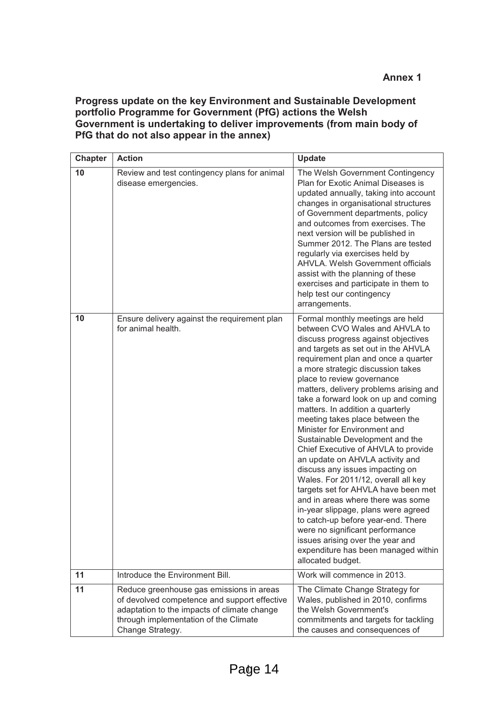#### **Progress update on the key Environment and Sustainable Development portfolio Programme for Government (PfG) actions the Welsh Government is undertaking to deliver improvements (from main body of PfG that do not also appear in the annex)**

| <b>Chapter</b> | <b>Action</b>                                                                                                                                                                                        | <b>Update</b>                                                                                                                                                                                                                                                                                                                                                                                                                                                                                                                                                                                                                                                                                                                                                                                                                                                                                                                          |
|----------------|------------------------------------------------------------------------------------------------------------------------------------------------------------------------------------------------------|----------------------------------------------------------------------------------------------------------------------------------------------------------------------------------------------------------------------------------------------------------------------------------------------------------------------------------------------------------------------------------------------------------------------------------------------------------------------------------------------------------------------------------------------------------------------------------------------------------------------------------------------------------------------------------------------------------------------------------------------------------------------------------------------------------------------------------------------------------------------------------------------------------------------------------------|
| 10             | Review and test contingency plans for animal<br>disease emergencies.                                                                                                                                 | The Welsh Government Contingency<br>Plan for Exotic Animal Diseases is<br>updated annually, taking into account<br>changes in organisational structures<br>of Government departments, policy<br>and outcomes from exercises. The<br>next version will be published in<br>Summer 2012. The Plans are tested<br>regularly via exercises held by<br><b>AHVLA. Welsh Government officials</b><br>assist with the planning of these<br>exercises and participate in them to<br>help test our contingency<br>arrangements.                                                                                                                                                                                                                                                                                                                                                                                                                   |
| 10             | Ensure delivery against the requirement plan<br>for animal health.                                                                                                                                   | Formal monthly meetings are held<br>between CVO Wales and AHVLA to<br>discuss progress against objectives<br>and targets as set out in the AHVLA<br>requirement plan and once a quarter<br>a more strategic discussion takes<br>place to review governance<br>matters, delivery problems arising and<br>take a forward look on up and coming<br>matters. In addition a quarterly<br>meeting takes place between the<br>Minister for Environment and<br>Sustainable Development and the<br>Chief Executive of AHVLA to provide<br>an update on AHVLA activity and<br>discuss any issues impacting on<br>Wales. For 2011/12, overall all key<br>targets set for AHVLA have been met<br>and in areas where there was some<br>in-year slippage, plans were agreed<br>to catch-up before year-end. There<br>were no significant performance<br>issues arising over the year and<br>expenditure has been managed within<br>allocated budget. |
| 11             | Introduce the Environment Bill.                                                                                                                                                                      | Work will commence in 2013.                                                                                                                                                                                                                                                                                                                                                                                                                                                                                                                                                                                                                                                                                                                                                                                                                                                                                                            |
| 11             | Reduce greenhouse gas emissions in areas<br>of devolved competence and support effective<br>adaptation to the impacts of climate change<br>through implementation of the Climate<br>Change Strategy. | The Climate Change Strategy for<br>Wales, published in 2010, confirms<br>the Welsh Government's<br>commitments and targets for tackling<br>the causes and consequences of                                                                                                                                                                                                                                                                                                                                                                                                                                                                                                                                                                                                                                                                                                                                                              |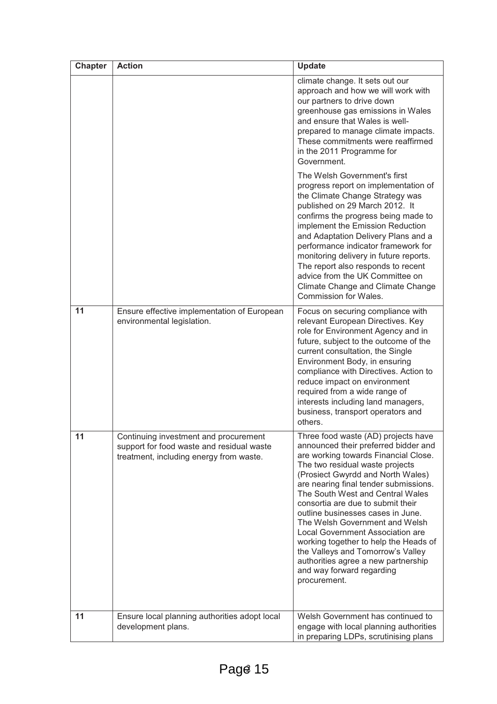| <b>Chapter</b> | <b>Action</b>                                                                                                                 | <b>Update</b>                                                                                                                                                                                                                                                                                                                                                                                                                                                                                                                                                                              |
|----------------|-------------------------------------------------------------------------------------------------------------------------------|--------------------------------------------------------------------------------------------------------------------------------------------------------------------------------------------------------------------------------------------------------------------------------------------------------------------------------------------------------------------------------------------------------------------------------------------------------------------------------------------------------------------------------------------------------------------------------------------|
|                |                                                                                                                               | climate change. It sets out our<br>approach and how we will work with<br>our partners to drive down<br>greenhouse gas emissions in Wales<br>and ensure that Wales is well-<br>prepared to manage climate impacts.<br>These commitments were reaffirmed<br>in the 2011 Programme for<br>Government.                                                                                                                                                                                                                                                                                         |
|                |                                                                                                                               | The Welsh Government's first<br>progress report on implementation of<br>the Climate Change Strategy was<br>published on 29 March 2012. It<br>confirms the progress being made to<br>implement the Emission Reduction<br>and Adaptation Delivery Plans and a<br>performance indicator framework for<br>monitoring delivery in future reports.<br>The report also responds to recent<br>advice from the UK Committee on<br>Climate Change and Climate Change<br>Commission for Wales.                                                                                                        |
| 11             | Ensure effective implementation of European<br>environmental legislation.                                                     | Focus on securing compliance with<br>relevant European Directives. Key<br>role for Environment Agency and in<br>future, subject to the outcome of the<br>current consultation, the Single<br>Environment Body, in ensuring<br>compliance with Directives. Action to<br>reduce impact on environment<br>required from a wide range of<br>interests including land managers,<br>business, transport operators and<br>others.                                                                                                                                                                 |
| 11             | Continuing investment and procurement<br>support for food waste and residual waste<br>treatment, including energy from waste. | Three food waste (AD) projects have<br>announced their preferred bidder and<br>are working towards Financial Close.<br>The two residual waste projects<br>(Prosiect Gwyrdd and North Wales)<br>are nearing final tender submissions.<br>The South West and Central Wales<br>consortia are due to submit their<br>outline businesses cases in June.<br>The Welsh Government and Welsh<br>Local Government Association are<br>working together to help the Heads of<br>the Valleys and Tomorrow's Valley<br>authorities agree a new partnership<br>and way forward regarding<br>procurement. |
| 11             | Ensure local planning authorities adopt local<br>development plans.                                                           | Welsh Government has continued to<br>engage with local planning authorities<br>in preparing LDPs, scrutinising plans                                                                                                                                                                                                                                                                                                                                                                                                                                                                       |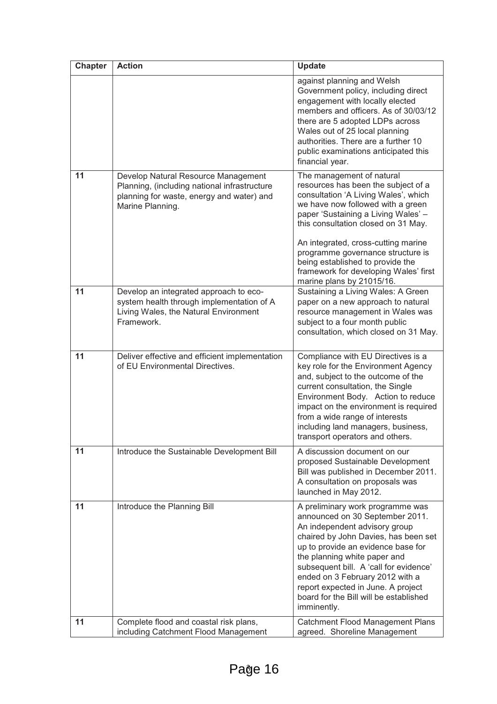| <b>Chapter</b> | <b>Action</b>                                                                                                                                        | <b>Update</b>                                                                                                                                                                                                                                                                                                                                                                                                     |
|----------------|------------------------------------------------------------------------------------------------------------------------------------------------------|-------------------------------------------------------------------------------------------------------------------------------------------------------------------------------------------------------------------------------------------------------------------------------------------------------------------------------------------------------------------------------------------------------------------|
|                |                                                                                                                                                      | against planning and Welsh<br>Government policy, including direct<br>engagement with locally elected<br>members and officers. As of 30/03/12<br>there are 5 adopted LDPs across<br>Wales out of 25 local planning<br>authorities. There are a further 10<br>public examinations anticipated this<br>financial year.                                                                                               |
| 11             | Develop Natural Resource Management<br>Planning, (including national infrastructure<br>planning for waste, energy and water) and<br>Marine Planning. | The management of natural<br>resources has been the subject of a<br>consultation 'A Living Wales', which<br>we have now followed with a green<br>paper 'Sustaining a Living Wales' -<br>this consultation closed on 31 May.<br>An integrated, cross-cutting marine<br>programme governance structure is<br>being established to provide the<br>framework for developing Wales' first<br>marine plans by 21015/16. |
| 11             | Develop an integrated approach to eco-<br>system health through implementation of A<br>Living Wales, the Natural Environment<br>Framework.           | Sustaining a Living Wales: A Green<br>paper on a new approach to natural<br>resource management in Wales was<br>subject to a four month public<br>consultation, which closed on 31 May.                                                                                                                                                                                                                           |
| 11             | Deliver effective and efficient implementation<br>of EU Environmental Directives.                                                                    | Compliance with EU Directives is a<br>key role for the Environment Agency<br>and, subject to the outcome of the<br>current consultation, the Single<br>Environment Body. Action to reduce<br>impact on the environment is required<br>from a wide range of interests<br>including land managers, business,<br>transport operators and others.                                                                     |
| 11             | Introduce the Sustainable Development Bill                                                                                                           | A discussion document on our<br>proposed Sustainable Development<br>Bill was published in December 2011.<br>A consultation on proposals was<br>launched in May 2012.                                                                                                                                                                                                                                              |
| 11             | Introduce the Planning Bill                                                                                                                          | A preliminary work programme was<br>announced on 30 September 2011.<br>An independent advisory group<br>chaired by John Davies, has been set<br>up to provide an evidence base for<br>the planning white paper and<br>subsequent bill. A 'call for evidence'<br>ended on 3 February 2012 with a<br>report expected in June. A project<br>board for the Bill will be established<br>imminently.                    |
| 11             | Complete flood and coastal risk plans,<br>including Catchment Flood Management                                                                       | Catchment Flood Management Plans<br>agreed. Shoreline Management                                                                                                                                                                                                                                                                                                                                                  |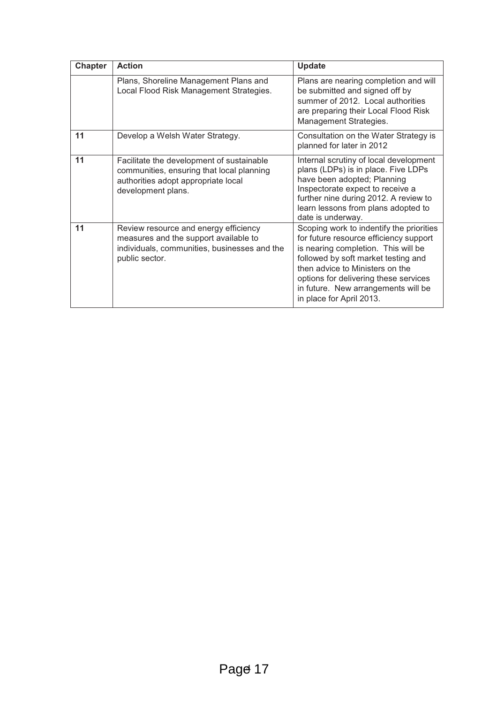| <b>Chapter</b> | <b>Action</b>                                                                                                                                       | <b>Update</b>                                                                                                                                                                                                                                                                                                   |
|----------------|-----------------------------------------------------------------------------------------------------------------------------------------------------|-----------------------------------------------------------------------------------------------------------------------------------------------------------------------------------------------------------------------------------------------------------------------------------------------------------------|
|                | Plans, Shoreline Management Plans and<br>Local Flood Risk Management Strategies.                                                                    | Plans are nearing completion and will<br>be submitted and signed off by<br>summer of 2012. Local authorities<br>are preparing their Local Flood Risk<br>Management Strategies.                                                                                                                                  |
| 11             | Develop a Welsh Water Strategy.                                                                                                                     | Consultation on the Water Strategy is<br>planned for later in 2012                                                                                                                                                                                                                                              |
| 11             | Facilitate the development of sustainable<br>communities, ensuring that local planning<br>authorities adopt appropriate local<br>development plans. | Internal scrutiny of local development<br>plans (LDPs) is in place. Five LDPs<br>have been adopted; Planning<br>Inspectorate expect to receive a<br>further nine during 2012. A review to<br>learn lessons from plans adopted to<br>date is underway.                                                           |
| 11             | Review resource and energy efficiency<br>measures and the support available to<br>individuals, communities, businesses and the<br>public sector.    | Scoping work to indentify the priorities<br>for future resource efficiency support<br>is nearing completion. This will be<br>followed by soft market testing and<br>then advice to Ministers on the<br>options for delivering these services<br>in future. New arrangements will be<br>in place for April 2013. |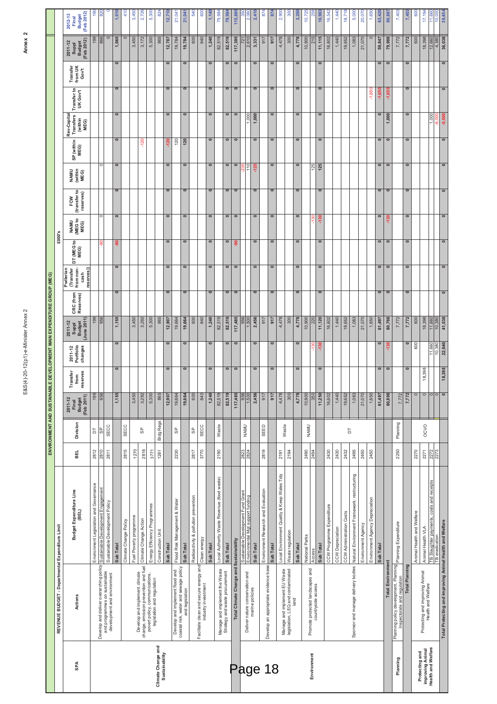| nav<br>$\frac{1}{2}$                                                                             |
|--------------------------------------------------------------------------------------------------|
| Ś<br>ŕ                                                                                           |
|                                                                                                  |
|                                                                                                  |
|                                                                                                  |
|                                                                                                  |
|                                                                                                  |
|                                                                                                  |
|                                                                                                  |
|                                                                                                  |
|                                                                                                  |
|                                                                                                  |
|                                                                                                  |
|                                                                                                  |
|                                                                                                  |
|                                                                                                  |
|                                                                                                  |
|                                                                                                  |
|                                                                                                  |
|                                                                                                  |
|                                                                                                  |
|                                                                                                  |
|                                                                                                  |
|                                                                                                  |
|                                                                                                  |
|                                                                                                  |
|                                                                                                  |
|                                                                                                  |
|                                                                                                  |
|                                                                                                  |
|                                                                                                  |
|                                                                                                  |
|                                                                                                  |
|                                                                                                  |
|                                                                                                  |
|                                                                                                  |
|                                                                                                  |
|                                                                                                  |
|                                                                                                  |
|                                                                                                  |
|                                                                                                  |
|                                                                                                  |
| $\vdots$                                                                                         |
| ١<br>١                                                                                           |
|                                                                                                  |
|                                                                                                  |
| ١                                                                                                |
| j<br>ē                                                                                           |
|                                                                                                  |
| ֚֚֚֬<br>ś                                                                                        |
| I                                                                                                |
| ֦֧֦֧֦֧֖֚֚֚֚֚֚֚֚֚֚֚֚֚֚֚֚֚֚֚֚֚֚֚֝֝֓֞֡֓֞֡֓֓֞֡֓֞֡֓֞֡֡֬֓֓֞֓֞֓֞֡֓֞֡֓֞֓֞֡֓֞֡֡֓֞֓֞֡֓֞֓֞֞֡֓֞֡֓֞֞֝֬֝֓<br>ί |
| i<br>4                                                                                           |
| ù                                                                                                |
| )<br>S<br>J<br>×<br>1                                                                            |
|                                                                                                  |

|                                                         |                                                                                                                                       |                                                                       |                          |                  |                                              |                                 |                                 | ENVIRONMENT AND SUSTAINABLE DEVELOPMENT MAIN EXPENDITURE GROUP (MEG) |           |                                                               |                          |                         |                                  |                          |            |                                             |                          |                              |                                          |                                          |
|---------------------------------------------------------|---------------------------------------------------------------------------------------------------------------------------------------|-----------------------------------------------------------------------|--------------------------|------------------|----------------------------------------------|---------------------------------|---------------------------------|----------------------------------------------------------------------|-----------|---------------------------------------------------------------|--------------------------|-------------------------|----------------------------------|--------------------------|------------|---------------------------------------------|--------------------------|------------------------------|------------------------------------------|------------------------------------------|
|                                                         | REVENUE BUDGET - Departmental Expenditure Limit                                                                                       |                                                                       |                          |                  |                                              |                                 |                                 |                                                                      |           |                                                               | £000's                   |                         |                                  |                          |            |                                             |                          |                              |                                          |                                          |
| <b>SPA</b>                                              | Actions                                                                                                                               | Budget Expenditure Line<br>(BEL)                                      | BEL                      | Division         | Budget<br>(Feb 2011)<br>$2011 - 12$<br>Final | eserves<br>ransfer<br>from<br>٣ | 2011-12<br>Portfolio<br>changes | Budget<br>(June 2011)<br>2011-12<br>Suppl                            | CRC (from | 5<br>from non-<br>reserves)<br>Pwllerian<br>(Transfer<br>cash | ø<br>WEG1<br>MEG)        | NAMU<br>(MEG to<br>MEG) | FCW<br>(transfer to<br>reserves) | NAMU<br>(within<br>MEG)  | SP (within | Rev-Capital<br>Transfers<br>(within<br>MEG) | Transfer to<br>UK Gov't  | Transfer<br>from UK<br>Gov't | Budget<br>(Feb 2012)<br>2011-12<br>Suppl | Budget<br>(Feb 2012)<br>2012-13<br>Final |
|                                                         |                                                                                                                                       | Environment Legislation and Governance                                | 2812                     | 5                | 199                                          |                                 |                                 | 199                                                                  |           |                                                               |                          |                         |                                  |                          |            |                                             |                          |                              | 199                                      | $\frac{1}{90}$                           |
|                                                         | Develop and deliver overarching policy<br>and programmes on sustainable<br>development and environment                                | Sustainable Development Engagement<br>Sustainable Development Policy  | 2811<br>$\frac{2810}{5}$ | SECC<br>င္ဟ      | 956                                          |                                 |                                 | 956                                                                  |           |                                                               |                          |                         |                                  |                          |            |                                             |                          |                              | $\circ$<br>866                           | $\circ$<br>$\frac{5}{2}$                 |
|                                                         |                                                                                                                                       | Sub Total                                                             |                          |                  | 1,155                                        | $\circ$                         | $\bullet$                       | 1,155                                                                | $\circ$   | $\bullet$                                                     | ႜ                        | $\circ$                 | $\bullet$                        | $\overline{\phantom{a}}$ | $\circ$    | $\circ$                                     | $\overline{\phantom{a}}$ | $\circ$                      | 1,065                                    | 1,010                                    |
|                                                         |                                                                                                                                       | Climate Change Policy                                                 | 2815                     | SECC             |                                              |                                 |                                 |                                                                      |           |                                                               |                          |                         |                                  |                          |            |                                             |                          |                              | $\circ$                                  | 410                                      |
|                                                         |                                                                                                                                       | Fuel Poverty programme                                                | 1270                     |                  | 3,450                                        |                                 |                                 | 3,450                                                                |           |                                                               |                          |                         |                                  |                          |            |                                             |                          |                              | 3,450                                    | 3,450                                    |
|                                                         | Develop and implement climate<br>change, emission prevention and fuel<br>povert policy, communications,<br>legislation and regulation | Climate Change Action                                                 | 2816                     | မြ               | 3,292                                        |                                 |                                 | 3,292                                                                |           |                                                               |                          |                         |                                  |                          | $-120$     |                                             |                          |                              | 3,172                                    | 2,726                                    |
|                                                         |                                                                                                                                       | Energy Efficiency Programmes                                          | 3771                     |                  | 5,300                                        |                                 |                                 | 5,300                                                                |           |                                                               |                          |                         |                                  |                          |            |                                             |                          |                              | 5,300                                    | 5,300                                    |
| Climate Change and<br>Sustainability                    |                                                                                                                                       | Construction Unit                                                     | 1261                     | <b>Bidg Regs</b> | 865                                          |                                 |                                 | 865                                                                  |           |                                                               |                          |                         |                                  |                          |            |                                             |                          |                              | 865                                      | 824                                      |
|                                                         |                                                                                                                                       | Sub Total                                                             |                          |                  | 12,907                                       | $\circ$                         | $\bullet$                       | 12,907                                                               | $\circ$   | $\circ$                                                       | $\overline{\phantom{0}}$ | $\circ$                 | $\bullet$                        | $\overline{\phantom{0}}$ | $-120$     | $\circ$                                     | $\bullet$                | $\circ$                      | 12,787                                   | 12,710                                   |
|                                                         | Develop and implement flood and<br>coastal risk, water and sewage policy                                                              | Flood Risk Management & Water                                         | 2230                     | မြ               | 19,664                                       |                                 |                                 | 19,664                                                               |           |                                                               |                          |                         |                                  |                          | 120        |                                             |                          |                              | 19,784                                   | 21,041                                   |
|                                                         | and legislation                                                                                                                       | Sub Total                                                             |                          |                  | 19,664                                       | $\circ$                         | $\bullet$                       | 19,664                                                               | $\circ$   | $\circ$                                                       | $\bullet$                | $\circ$                 | $\bullet$                        | $\overline{\phantom{0}}$ | 120        | $\circ$                                     | $\bullet$                | $\overline{\phantom{0}}$     | 19,784                                   | 21,041                                   |
|                                                         |                                                                                                                                       | Radioactivity & pollution prevention                                  | 2817                     | 9                | 600                                          |                                 |                                 | 600                                                                  |           |                                                               |                          |                         |                                  |                          |            |                                             |                          |                              | 600                                      | 540                                      |
|                                                         | Facilitate clean and secure energy and<br>industry investment                                                                         | Clean energy                                                          | 3770                     | SECC             | 640                                          |                                 |                                 | 640                                                                  |           |                                                               |                          |                         |                                  |                          |            |                                             |                          |                              | 640                                      | 600                                      |
|                                                         |                                                                                                                                       | Sub Total                                                             |                          |                  | 1,240                                        | $\circ$                         | $\bullet$                       | 1,240                                                                | $\bullet$ | $\circ$                                                       | $\bullet$                | $\circ$                 | $\circ$                          | $\bullet$                | $\circ$    | $\bullet$                                   | $\bullet$                | $\bullet$                    | 1,240                                    | 1,140                                    |
|                                                         | Manage and implement the Waste                                                                                                        | Local Authority Waste Revenue (food waste)                            | 2190                     | Waste            | 82,519                                       |                                 |                                 | 82,519                                                               |           |                                                               |                          |                         |                                  |                          |            |                                             |                          |                              | 82,519                                   | 79,984                                   |
|                                                         | Strategy and waste procurement                                                                                                        | Sub Total                                                             |                          |                  | 82,519                                       | $\bullet$                       | $\bullet$                       | 82,519                                                               | $\bullet$ | $\overline{\bullet}$                                          | $\overline{\phantom{0}}$ | $\bullet$               | $\bullet$                        | $\overline{\phantom{0}}$ | $\bullet$  | $\bullet$                                   | $\bullet$                | $\bullet$                    | 82,519                                   | 79,984                                   |
| Page 18                                                 | Total Climate Change and Sustainability                                                                                               |                                                                       |                          |                  | 117,485                                      | $\circ$                         | $\circ$                         | 117,485                                                              | $\circ$   | $\circ$                                                       | နှ                       | $\circ$                 | $\circ$                          | $\bullet$                | $\bullet$  | $\circ$                                     | $\bullet$                | $\overline{\phantom{0}}$     | 117,395                                  | 115,885                                  |
|                                                         | Deliver nature conservation and                                                                                                       | ustainable Development Fund Grant<br>nvironmental Mgt support funding | 2823                     | NAMU             |                                              |                                 |                                 |                                                                      |           |                                                               |                          |                         |                                  |                          |            |                                             |                          |                              |                                          |                                          |
|                                                         | marine policies                                                                                                                       | Sub Total                                                             |                          |                  | 2,456<br><b>SO</b>                           | $\circ$                         | $\bullet$                       | 2,456<br>500                                                         | $\bullet$ | $\circ$                                                       | $\overline{\phantom{0}}$ | $\circ$                 | $\circ$                          | $-125$                   | $\bullet$  |                                             | $\overline{\phantom{0}}$ | $\bullet$                    | 61                                       |                                          |
|                                                         |                                                                                                                                       |                                                                       |                          | SEED             | 917                                          |                                 |                                 | 917                                                                  |           |                                                               |                          |                         |                                  |                          |            | 1,000                                       |                          |                              | 3,331<br>917                             | 2,410<br>874                             |
|                                                         | Develop an appropriate evidence base                                                                                                  | Environment Research and Evaluation                                   | 2819                     |                  |                                              |                                 |                                 |                                                                      |           |                                                               |                          |                         |                                  |                          |            |                                             |                          |                              |                                          |                                          |
|                                                         |                                                                                                                                       | Local Environment Quality & Keep Wales Tidy<br>Sub Total              | 2191                     |                  | 4,478<br>917                                 | $\circ$                         | $\bullet$                       | 917<br>4,478                                                         | $\bullet$ | $\circ$                                                       | $\bullet$                | $\circ$                 | $\circ$                          | $\bullet$                | $\bullet$  | $\bullet$                                   | $\bullet$                | $\bullet$                    | 4,478<br>917                             | 874<br>2,900                             |
|                                                         | Manage and implement EU Waste<br>legislation, LEQ and contaminated                                                                    |                                                                       | 2194                     | Waste            | 300                                          |                                 |                                 | 300                                                                  |           |                                                               |                          |                         |                                  |                          |            |                                             |                          |                              | 300                                      | 300                                      |
|                                                         | land                                                                                                                                  | Waste regulation                                                      |                          |                  |                                              |                                 |                                 |                                                                      |           |                                                               |                          |                         |                                  |                          |            |                                             |                          |                              |                                          |                                          |
|                                                         |                                                                                                                                       | Sub Total                                                             |                          |                  | 4,778                                        | $\circ$                         | $\circ$                         | 4,778                                                                | $\circ$   | $\bullet$                                                     | $\bullet$                | $\circ$                 | $\circ$                          | $\bullet$                | $\bullet$  | $\circ$                                     | $\bullet$                | $\bullet$                    | 4,778                                    | 3,200                                    |
| Environment                                             | Promote protected landscapes and                                                                                                      | National Parks                                                        | 2490<br>2494             | NAMU             | 10,900                                       |                                 |                                 | 10,900                                                               |           |                                                               |                          |                         |                                  | $\frac{5}{2}$            |            |                                             |                          |                              | 10,900                                   | 10,725                                   |
|                                                         | countryside access                                                                                                                    | Sub Total                                                             |                          |                  | 11,250                                       | $\bullet$                       | $-130$                          | 11,120                                                               | $\circ$   | $\circ$                                                       | $\overline{\phantom{0}}$ | $-130$                  | $\circ$                          | 125                      | $\circ$    | $\circ$                                     | $\overline{\phantom{0}}$ | $\bullet$                    | 11,115                                   | 10,983                                   |
|                                                         |                                                                                                                                       | CCW Programme Expenditure                                             | 2430                     |                  | 16,602                                       |                                 |                                 | 16,602                                                               |           |                                                               |                          |                         |                                  |                          |            |                                             |                          |                              | 16,602                                   | 16,542                                   |
|                                                         |                                                                                                                                       | CCW Depreciation                                                      | 2430                     |                  | 1,440                                        |                                 |                                 | 1,440                                                                |           |                                                               |                          |                         |                                  |                          |            |                                             |                          |                              | 1,440                                    | 1,440                                    |
|                                                         |                                                                                                                                       | CCW Administration Costs                                              | 2432                     | Б                | 19,652                                       |                                 |                                 | 19,652                                                               |           |                                                               |                          |                         |                                  |                          |            |                                             |                          |                              | 19,652                                   | 18,718                                   |
|                                                         | Sponsor and manage delivery bodies                                                                                                    | Natural Environment Framework: restructuring                          | 2495                     |                  | 1,083                                        |                                 |                                 | 1,083                                                                |           |                                                               |                          |                         |                                  |                          |            |                                             |                          |                              | 1,083                                    | 5,000                                    |
|                                                         |                                                                                                                                       | Environment Agency                                                    | 2450                     |                  | 21,070                                       |                                 |                                 | 21,070                                                               |           |                                                               |                          |                         |                                  |                          |            |                                             |                          |                              | 21,070                                   | 20,070                                   |
|                                                         |                                                                                                                                       | Environment Agency Depreciation                                       | 2450                     |                  | 1,650                                        |                                 |                                 | 1,650                                                                |           |                                                               |                          |                         |                                  |                          |            |                                             | $-1,650$                 |                              | $\circ$                                  | 1,650                                    |
|                                                         |                                                                                                                                       | Sub Total                                                             |                          |                  | 61,497                                       | $\circ$                         | $\circ$                         | 61,497                                                               | $\bullet$ | $\bullet$                                                     | $\bullet$                | $\circ$                 | $\bullet$                        | $\bullet$                | $\circ$    | $\circ$                                     | $-1,650$                 | $\circ$                      | 59,847                                   | 63,420                                   |
|                                                         | <b>Total Environment</b>                                                                                                              |                                                                       |                          |                  | 80,898                                       | $\circ$                         | $-130$                          | 80,768                                                               | $\circ$   | $\overline{\phantom{0}}$                                      | $\bullet$                | $-130$                  | $\bullet$                        | $\bullet$                | $\circ$    | 1,000                                       | $-1,650$                 | $\overline{\phantom{0}}$     | 79,988                                   | 80,887                                   |
| Planning                                                | Planning policy development, Planning   planning Expenditure<br>  Inspectorate and regulation                                         |                                                                       | 2250                     | Planning         | 7.772                                        |                                 |                                 | 7,772                                                                |           |                                                               |                          |                         |                                  |                          |            |                                             |                          |                              | 7,772                                    | 7,403                                    |
|                                                         | Total Planning                                                                                                                        |                                                                       |                          |                  | 7,772                                        | $\bullet$                       | $\bullet$                       | 7,772                                                                | $\circ$   | $\bullet$                                                     | $\bullet$                | $\circ$                 | $\circ$                          | $\bullet$                | $\bullet$  | $\bullet$                                   | $\bullet$                | $\bullet$                    | 7,772                                    | 7,403                                    |
|                                                         |                                                                                                                                       | Animal Health and Welfare                                             | 2270                     |                  | $\circ$                                      |                                 | 600                             | 600                                                                  |           |                                                               |                          |                         |                                  |                          |            |                                             |                          |                              | 600                                      | 600                                      |
| Protecting and<br>improving Animal<br>Heath and Welfare | Protecting and improving Animal<br>Health and Welfare                                                                                 | Animal Health VLA                                                     | 2271                     | OCVO             | $\circ$                                      | 18,398                          |                                 | 18,398                                                               |           |                                                               |                          |                         |                                  |                          |            |                                             |                          |                              | 18,398                                   | 17,194                                   |
|                                                         |                                                                                                                                       | B Slaughter payments, costs and receipts                              | 2773<br>2273             |                  | $\circ$                                      |                                 | 11,660                          | 11,660<br>10,380                                                     |           |                                                               |                          |                         |                                  |                          |            | 1,000                                       |                          |                              | $\frac{12,660}{4,380}$                   | 11,00                                    |
|                                                         |                                                                                                                                       | TB eradication                                                        |                          |                  | $\circ$                                      |                                 | 10,380                          |                                                                      |           |                                                               |                          |                         |                                  |                          |            |                                             |                          |                              |                                          | 10,00                                    |
|                                                         | Total Protecting and improving Animal Health and Welfare                                                                              |                                                                       |                          |                  | $\bullet$                                    | 18,398                          | 22,640                          | 41,038                                                               | $\bullet$ | $\bullet$                                                     | $\overline{\phantom{0}}$ | $\bullet$               | $\bullet$                        | $\bullet$                | $\circ$    | $-5,000$                                    | $\circ$                  | $\bullet$                    | 36,038                                   | 39,454                                   |

Annex<sub>2</sub>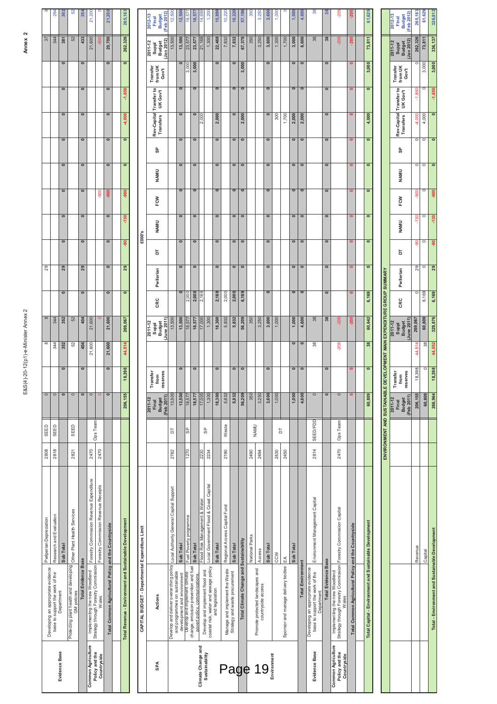| i<br>Ś<br>İ                                                                                            |
|--------------------------------------------------------------------------------------------------------|
| j<br>í                                                                                                 |
|                                                                                                        |
|                                                                                                        |
|                                                                                                        |
|                                                                                                        |
|                                                                                                        |
|                                                                                                        |
|                                                                                                        |
|                                                                                                        |
|                                                                                                        |
|                                                                                                        |
|                                                                                                        |
|                                                                                                        |
|                                                                                                        |
|                                                                                                        |
|                                                                                                        |
|                                                                                                        |
|                                                                                                        |
|                                                                                                        |
|                                                                                                        |
|                                                                                                        |
|                                                                                                        |
|                                                                                                        |
|                                                                                                        |
|                                                                                                        |
|                                                                                                        |
|                                                                                                        |
|                                                                                                        |
|                                                                                                        |
|                                                                                                        |
|                                                                                                        |
|                                                                                                        |
|                                                                                                        |
|                                                                                                        |
|                                                                                                        |
|                                                                                                        |
|                                                                                                        |
|                                                                                                        |
|                                                                                                        |
|                                                                                                        |
|                                                                                                        |
| $\frac{1}{2}$                                                                                          |
| í                                                                                                      |
|                                                                                                        |
| Ś<br>ì<br>ì                                                                                            |
| ֧֦֦֧֦֧֦֧֦֧֦֧֦֧ׅ֧֦֧ׅ֧֦֧֦֧֦֧֦֧֦֧ׅ֧֦֧֧֦֧֧ׅ֧֧ׅ֧֦֧ׅ֧֦֧֧֪֪֪֪֪֪֪֪֪֪֪֪֪֪֪֪֪֪֪֪֪֪֪֪֪֝֟֝֝֜֓֝֬֜֓֜֓֜֜֜֓֜֜֓֜֓֜<br>j |
| $\ddot{\phantom{a}}$                                                                                   |
|                                                                                                        |
| í<br>S<br>,                                                                                            |
| j                                                                                                      |
| nn 10<br>j<br>ì                                                                                        |
| Į                                                                                                      |
| E&S(4)-                                                                                                |
|                                                                                                        |
|                                                                                                        |

|                               | Developing an appropriate evidence                                                | Pwlperian Depreciation                                                | 2808 | SEED        |         |                          | $\infty$ | $\infty$ |              | 29 |              |                          |                   |              |                          |                   |           |                          | $\overline{37}$ |         |
|-------------------------------|-----------------------------------------------------------------------------------|-----------------------------------------------------------------------|------|-------------|---------|--------------------------|----------|----------|--------------|----|--------------|--------------------------|-------------------|--------------|--------------------------|-------------------|-----------|--------------------------|-----------------|---------|
|                               | base to support the work of the                                                   | Research and Evaluation                                               | 2818 | SEED        |         |                          | 344      | 344      |              |    |              |                          |                   |              |                          |                   |           |                          | 344             | 294     |
| <b>Evidence Base</b>          | Department                                                                        | Sub Total                                                             |      |             |         |                          | 352      | 352      |              | 29 | $\mathbf{C}$ | $\overline{a}$           |                   |              |                          | $\bullet$         |           | $\overline{\phantom{0}}$ | $\overline{38}$ | 302     |
|                               | Protecting plant health and developing Other Plant Health Services<br>GM policies |                                                                       | 2821 | <b>SEED</b> |         |                          | 52       | 52       |              |    |              |                          |                   |              |                          |                   |           |                          | 52              | ₿       |
|                               | <b>Total Evidence Base</b>                                                        |                                                                       |      |             |         | $\mathbf{\Omega}$        | 404      | 404      |              | 29 | 0            | $\overline{\phantom{0}}$ | $\mathbf{\Omega}$ |              |                          | $\mathbf{\Omega}$ | 0         | $\overline{\phantom{0}}$ | 433             | 354     |
| <b>Common Agriculture</b>     | Strategy through Forestry Commission                                              | Implementing the new Woodland Forestry Commission Revenue Expenditure | 2470 | Ops Team    |         |                          | 21,600   | 21,600   |              |    |              |                          |                   |              |                          |                   |           |                          | 21,600          | 21,200  |
| Policy and the<br>Countryside | Wales                                                                             | Forestry Commission Revenue Receipts                                  | 2470 |             |         |                          |          |          |              |    |              |                          | $-900$            |              |                          |                   |           |                          | $\frac{50}{3}$  |         |
|                               | Total Common Agricultural Policy and the Countryside                              |                                                                       |      |             |         | $\overline{\phantom{0}}$ | 21,600   | 21,600   | $\mathbf{C}$ | c  | o            | $\overline{\phantom{0}}$ | -900              | $\mathbf{C}$ |                          | $\circ$           | $\bullet$ | $\overline{\phantom{0}}$ | 20,700          | 21,200  |
|                               |                                                                                   |                                                                       |      |             |         |                          |          |          |              |    |              |                          |                   |              |                          |                   |           |                          |                 |         |
|                               | Total Revenue - Environment and Sustainable Development                           |                                                                       |      |             | 206,155 | 18,398                   | 44,514   | 269,067  | $\mathbf{C}$ | 29 | နှ           | $-130$                   | $-900$            |              | $\overline{\phantom{a}}$ | 4,000             | 1,650     | $\overline{\phantom{0}}$ | 262,326         | 265,183 |
|                               |                                                                                   |                                                                       |      |             |         |                          |          |          |              |    |              |                          |                   |              |                          |                   |           |                          |                 |         |
|                               | CAPITAL BUDGET - Departmental Expenditure Limit                                   |                                                                       |      |             |         |                          |          |          |              |    | £000's       |                          |                   |              |                          |                   |           |                          |                 |         |

| 73,811<br>Budget<br>(Jan 2012)<br>Jan 2012)<br>23,<br>$\bullet$<br>$\bullet$<br>$\bullet$<br>$\circ$<br>$\circ$<br>$\bullet$<br>$\bullet$<br>3,000<br>3,000<br>$\bullet$<br>3,000<br>3,000<br>Transfer<br><b>Transfer</b><br>from UK<br>from UK<br>Gov't<br>Gov't<br>$\bullet$<br>$\overline{\phantom{a}}$<br>$\overline{\phantom{0}}$<br>$\bullet$<br>$\overline{\phantom{0}}$<br>$\bullet$<br>$\overline{\phantom{0}}$<br>$\bullet$<br>$\overline{\phantom{0}}$<br>$\overline{\phantom{0}}$<br>Transfer to<br>$\bullet$<br>Transfer to<br>UK Gov't<br>UK Gov't<br>Rev-Capital<br>$\bullet$<br>$\bullet$<br>$\overline{\phantom{0}}$<br>Rev-Capital<br>$\circ$<br>$\circ$<br>$\bullet$<br>4,000<br><b>Transfers</b><br>2,000<br>2,000<br>2,000<br>300<br>1,700<br>2,000<br>2,000<br><b>Transfers</b><br>$\bullet$<br>$\bullet$<br>$\overline{\phantom{0}}$<br>$\circ$<br>$\circ$<br>$\bullet$<br>$\circ$<br>$\circ$<br>$\bullet$<br>$\circ$<br>$\bullet$<br>မ္ပ<br>င္ဟ<br>$\overline{\phantom{0}}$<br>$\bullet$<br>$\overline{\phantom{0}}$<br>$\bullet$<br>$\bullet$<br>$\bullet$<br>$\bullet$<br>$\bullet$<br>$\bullet$<br>$\overline{\phantom{0}}$<br>۰<br>NAMU<br>NAMU<br>$\bullet$<br>$\bullet$<br>$\bullet$<br>$\overline{\bullet}$<br>$\overline{\phantom{0}}$<br>$\bullet$<br>$\overline{\phantom{0}}$<br>$\overline{\phantom{0}}$<br>$\overline{\phantom{0}}$<br>$\overline{\phantom{0}}$<br>$\bullet$<br>FCW<br>FCW<br>$\bullet$<br>$\circ$<br>$\bullet$<br>$\bullet$<br>$\circ$<br>$\bullet$<br>$\bullet$<br>$\circ$<br>$\bullet$<br>$\bullet$<br>$\bullet$<br><b>NAMU</b><br><b>NAMU</b><br>£000's<br>$\bullet$<br>$\bullet$<br>$\overline{\phantom{0}}$<br>$\overline{\bullet}$<br>$\overline{\phantom{0}}$<br>$\bullet$<br>$\overline{\bullet}$<br>$\bullet$<br>$\overline{\phantom{0}}$<br>$\overline{\phantom{0}}$<br>$\bullet$<br>5<br>5<br>$\overline{\bullet}$<br>$\overline{\phantom{0}}$<br>$\overline{\phantom{0}}$<br>$\overline{\phantom{0}}$<br>$\overline{\phantom{0}}$<br>$\overline{\phantom{a}}$<br>$\overline{\phantom{0}}$<br>$\overline{\phantom{a}}$<br>$\overline{\phantom{0}}$<br>$\bullet$<br>$\bullet$<br>Pwllerian<br>Pwllerian<br>ENVIRONMENT AND SUSTAINABLE DEVELOPMENT MAN EXPENDITURE GROUP SUMMARY<br>$\overline{\phantom{0}}$<br>$\bullet$<br>$\bullet$<br>$\overline{\phantom{a}}$<br>2,000<br>$\bullet$<br>2,000<br>2,169<br>2,000<br>6,169<br>$\bullet$<br>6,169<br>2,169<br>2,000<br>CRC<br>CRC<br>56,209<br>13,500<br>18,577<br>1,300<br>18,300<br>5,832<br>5,832<br>3,600<br>1,000<br>1,000<br>4,600<br>38<br>38<br>$-205$<br>60,642<br>June 2011<br>13,500<br>17,000<br>350<br>3,250<br>$-205$<br>18,57<br><b>Budget</b><br>2011-12<br>Suppl<br>Budget<br>2011-12<br><b>Suppl</b><br>$\bullet$<br>$\circ$<br>38<br>38<br>$-205$<br>$\overline{\phantom{a}}$<br>$\overline{\phantom{0}}$<br>$\bullet$<br>$\overline{\phantom{0}}$<br>$\bullet$<br>$\overline{\bullet}$<br>$\bullet$<br>$\bullet$<br>$\overline{\phantom{0}}$<br>$\bullet$<br>0<br>reserves<br>reserves<br>Transfer<br>Transfer<br>from<br>from<br>$\circ$<br>$\bullet$<br>$\circ$<br>60,809<br>56,209<br>1,000<br>4,600<br>13,500<br>13,500<br>1,300<br>18,300<br>5,832<br>5,832<br>350<br>3,250<br>3,600<br>1,000<br>$\bullet$<br>18,577<br>17,000<br>(Feb 2011)<br>18,57<br><b>Budget</b><br>2011-12<br>$2011 - 12$<br><b>Budget</b><br>Final<br>Final<br>SEED/FDD<br>Ops Team<br>Waste<br><b>NAMU</b><br>မြှ<br>99<br>5<br>5<br>1270<br>2814<br>2470<br>2190<br>2782<br>2230<br>2234<br>2490<br>2494<br>2430<br>2450<br>Local Government Flood & Coast Capital<br>Local Authority General Capital Support<br>Environment Management Capital<br>Flood Risk Management & Water<br>Regional Access Capital Fund<br>Implementing the new Woodland<br>Strategy through Forestry Commission  Forestry Commission Capital<br>Fuel Poverty programme<br>Total Capital - Environment and Sustainable Development<br>Total Common Agricultural Policy and the Countryside<br>CAPITAL BUDGET - Departmental Expenditure Limit<br>National Parks<br>Total Climate Change and Sustainability<br>Sub Total<br>Sub Total<br>Sub Total<br>Sub Total<br>Sub Total<br>Sub Total<br>Access<br>CCW<br>Sponsor and manage delivery bodies EA<br><b>Total Evidence Base</b><br><b>Total Environment</b><br>Develop and deliver overarching policy<br>change, emission prevention and fuel<br>coastal risk, water and sewage policy<br>Developing an appropriate evidence<br>Manage and implement the Waste<br>Strategy and waste procurement<br>Promote protected landscapes and<br>Develop and implement flood and<br>and programmes on sustainable<br>base to support the work of the<br>Develop and implement climate<br>development and environment<br>povert policy, communications.<br>countryside access<br>and legislation<br>Department<br>Actions<br>Wales<br>Sustainability<br>Environment |  | [Feb 2012]<br>$2012 - 13$<br><b>Budget</b><br>Final | 12,500 | 12,50  | 18,57<br>52 | 18,57  | 14,69              | 1,200<br>1,300 | 5,899  | 10,220<br>7,832 | 10,22<br>7,832 | 57,196 | 350<br>350 | 3,250<br>3,250 | 3,600<br>3,600 | 1,000<br>1,300 | 1,700 | 1,000<br>3,000 | 4,600<br>6,600 | 38<br>38      | 38<br>38 | $-205$<br>$-205$                                           | $-205$<br>$-205$ | 61,629 | Feb 2012)<br>2012-13<br><b>Budget</b><br>Final |  |
|--------------------------------------------------------------------------------------------------------------------------------------------------------------------------------------------------------------------------------------------------------------------------------------------------------------------------------------------------------------------------------------------------------------------------------------------------------------------------------------------------------------------------------------------------------------------------------------------------------------------------------------------------------------------------------------------------------------------------------------------------------------------------------------------------------------------------------------------------------------------------------------------------------------------------------------------------------------------------------------------------------------------------------------------------------------------------------------------------------------------------------------------------------------------------------------------------------------------------------------------------------------------------------------------------------------------------------------------------------------------------------------------------------------------------------------------------------------------------------------------------------------------------------------------------------------------------------------------------------------------------------------------------------------------------------------------------------------------------------------------------------------------------------------------------------------------------------------------------------------------------------------------------------------------------------------------------------------------------------------------------------------------------------------------------------------------------------------------------------------------------------------------------------------------------------------------------------------------------------------------------------------------------------------------------------------------------------------------------------------------------------------------------------------------------------------------------------------------------------------------------------------------------------------------------------------------------------------------------------------------------------------------------------------------------------------------------------------------------------------------------------------------------------------------------------------------------------------------------------------------------------------------------------------------------------------------------------------------------------------------------------------------------------------------------------------------------------------------------------------------------------------------------------------------------------------------------------------------------------------------------------------------------------------------------------------------------------------------------------------------------------------------------------------------------------------------------------------------------------------------------------------------------------------------------------------------------------------------------------------------------------------------------------------------------------------------------------------------------------------------------------------------------------------------------------------------------------------------------------------------------------------------------------------------------------------------------------------------------------------------------------------------------------------------------------------------------------------------------------------------------------------------------------------------------------------------------------------------------------------------------------------------------------------------------------------------------------------------------------------------------------------------------------------------------------------------------------------------------------------------------------------------------------------------------------------------------------------------------------------------------------------------------------------------------------------------------------------------------------------------------------------------------------------------------------------------------------------------------------------------------------------------------------|--|-----------------------------------------------------|--------|--------|-------------|--------|--------------------|----------------|--------|-----------------|----------------|--------|------------|----------------|----------------|----------------|-------|----------------|----------------|---------------|----------|------------------------------------------------------------|------------------|--------|------------------------------------------------|--|
| une 2011<br>(Feb 2011)                                                                                                                                                                                                                                                                                                                                                                                                                                                                                                                                                                                                                                                                                                                                                                                                                                                                                                                                                                                                                                                                                                                                                                                                                                                                                                                                                                                                                                                                                                                                                                                                                                                                                                                                                                                                                                                                                                                                                                                                                                                                                                                                                                                                                                                                                                                                                                                                                                                                                                                                                                                                                                                                                                                                                                                                                                                                                                                                                                                                                                                                                                                                                                                                                                                                                                                                                                                                                                                                                                                                                                                                                                                                                                                                                                                                                                                                                                                                                                                                                                                                                                                                                                                                                                                                                                                                                                                                                                                                                                                                                                                                                                                                                                                                                                                                                                                                                 |  | 2011-12<br>Suppl                                    | 13,500 | 13,500 |             | 23,577 | 21,169             |                | 22,469 |                 |                | 67,378 |            |                |                |                |       |                |                |               |          |                                                            |                  |        | 2011-12<br>Suppl<br>Budget                     |  |
|                                                                                                                                                                                                                                                                                                                                                                                                                                                                                                                                                                                                                                                                                                                                                                                                                                                                                                                                                                                                                                                                                                                                                                                                                                                                                                                                                                                                                                                                                                                                                                                                                                                                                                                                                                                                                                                                                                                                                                                                                                                                                                                                                                                                                                                                                                                                                                                                                                                                                                                                                                                                                                                                                                                                                                                                                                                                                                                                                                                                                                                                                                                                                                                                                                                                                                                                                                                                                                                                                                                                                                                                                                                                                                                                                                                                                                                                                                                                                                                                                                                                                                                                                                                                                                                                                                                                                                                                                                                                                                                                                                                                                                                                                                                                                                                                                                                                                                        |  |                                                     |        |        |             |        |                    |                |        |                 |                |        |            |                |                |                |       |                |                |               |          |                                                            |                  |        |                                                |  |
|                                                                                                                                                                                                                                                                                                                                                                                                                                                                                                                                                                                                                                                                                                                                                                                                                                                                                                                                                                                                                                                                                                                                                                                                                                                                                                                                                                                                                                                                                                                                                                                                                                                                                                                                                                                                                                                                                                                                                                                                                                                                                                                                                                                                                                                                                                                                                                                                                                                                                                                                                                                                                                                                                                                                                                                                                                                                                                                                                                                                                                                                                                                                                                                                                                                                                                                                                                                                                                                                                                                                                                                                                                                                                                                                                                                                                                                                                                                                                                                                                                                                                                                                                                                                                                                                                                                                                                                                                                                                                                                                                                                                                                                                                                                                                                                                                                                                                                        |  |                                                     |        |        |             |        |                    |                |        |                 |                |        |            |                |                |                |       |                |                |               |          |                                                            |                  |        |                                                |  |
|                                                                                                                                                                                                                                                                                                                                                                                                                                                                                                                                                                                                                                                                                                                                                                                                                                                                                                                                                                                                                                                                                                                                                                                                                                                                                                                                                                                                                                                                                                                                                                                                                                                                                                                                                                                                                                                                                                                                                                                                                                                                                                                                                                                                                                                                                                                                                                                                                                                                                                                                                                                                                                                                                                                                                                                                                                                                                                                                                                                                                                                                                                                                                                                                                                                                                                                                                                                                                                                                                                                                                                                                                                                                                                                                                                                                                                                                                                                                                                                                                                                                                                                                                                                                                                                                                                                                                                                                                                                                                                                                                                                                                                                                                                                                                                                                                                                                                                        |  |                                                     |        |        |             |        |                    |                |        |                 |                |        |            |                |                |                |       |                |                |               |          |                                                            |                  |        |                                                |  |
|                                                                                                                                                                                                                                                                                                                                                                                                                                                                                                                                                                                                                                                                                                                                                                                                                                                                                                                                                                                                                                                                                                                                                                                                                                                                                                                                                                                                                                                                                                                                                                                                                                                                                                                                                                                                                                                                                                                                                                                                                                                                                                                                                                                                                                                                                                                                                                                                                                                                                                                                                                                                                                                                                                                                                                                                                                                                                                                                                                                                                                                                                                                                                                                                                                                                                                                                                                                                                                                                                                                                                                                                                                                                                                                                                                                                                                                                                                                                                                                                                                                                                                                                                                                                                                                                                                                                                                                                                                                                                                                                                                                                                                                                                                                                                                                                                                                                                                        |  |                                                     |        |        |             |        |                    |                |        |                 |                |        |            |                |                |                |       |                |                |               |          |                                                            |                  |        |                                                |  |
|                                                                                                                                                                                                                                                                                                                                                                                                                                                                                                                                                                                                                                                                                                                                                                                                                                                                                                                                                                                                                                                                                                                                                                                                                                                                                                                                                                                                                                                                                                                                                                                                                                                                                                                                                                                                                                                                                                                                                                                                                                                                                                                                                                                                                                                                                                                                                                                                                                                                                                                                                                                                                                                                                                                                                                                                                                                                                                                                                                                                                                                                                                                                                                                                                                                                                                                                                                                                                                                                                                                                                                                                                                                                                                                                                                                                                                                                                                                                                                                                                                                                                                                                                                                                                                                                                                                                                                                                                                                                                                                                                                                                                                                                                                                                                                                                                                                                                                        |  |                                                     |        |        |             |        |                    |                |        |                 |                |        |            |                |                |                |       |                |                |               |          |                                                            |                  |        |                                                |  |
|                                                                                                                                                                                                                                                                                                                                                                                                                                                                                                                                                                                                                                                                                                                                                                                                                                                                                                                                                                                                                                                                                                                                                                                                                                                                                                                                                                                                                                                                                                                                                                                                                                                                                                                                                                                                                                                                                                                                                                                                                                                                                                                                                                                                                                                                                                                                                                                                                                                                                                                                                                                                                                                                                                                                                                                                                                                                                                                                                                                                                                                                                                                                                                                                                                                                                                                                                                                                                                                                                                                                                                                                                                                                                                                                                                                                                                                                                                                                                                                                                                                                                                                                                                                                                                                                                                                                                                                                                                                                                                                                                                                                                                                                                                                                                                                                                                                                                                        |  |                                                     |        |        |             |        |                    |                |        |                 |                |        |            |                |                |                |       |                |                |               |          |                                                            |                  |        |                                                |  |
|                                                                                                                                                                                                                                                                                                                                                                                                                                                                                                                                                                                                                                                                                                                                                                                                                                                                                                                                                                                                                                                                                                                                                                                                                                                                                                                                                                                                                                                                                                                                                                                                                                                                                                                                                                                                                                                                                                                                                                                                                                                                                                                                                                                                                                                                                                                                                                                                                                                                                                                                                                                                                                                                                                                                                                                                                                                                                                                                                                                                                                                                                                                                                                                                                                                                                                                                                                                                                                                                                                                                                                                                                                                                                                                                                                                                                                                                                                                                                                                                                                                                                                                                                                                                                                                                                                                                                                                                                                                                                                                                                                                                                                                                                                                                                                                                                                                                                                        |  |                                                     |        |        |             |        |                    |                |        |                 |                |        |            |                |                |                |       |                |                |               |          |                                                            |                  |        |                                                |  |
|                                                                                                                                                                                                                                                                                                                                                                                                                                                                                                                                                                                                                                                                                                                                                                                                                                                                                                                                                                                                                                                                                                                                                                                                                                                                                                                                                                                                                                                                                                                                                                                                                                                                                                                                                                                                                                                                                                                                                                                                                                                                                                                                                                                                                                                                                                                                                                                                                                                                                                                                                                                                                                                                                                                                                                                                                                                                                                                                                                                                                                                                                                                                                                                                                                                                                                                                                                                                                                                                                                                                                                                                                                                                                                                                                                                                                                                                                                                                                                                                                                                                                                                                                                                                                                                                                                                                                                                                                                                                                                                                                                                                                                                                                                                                                                                                                                                                                                        |  |                                                     |        |        |             |        |                    |                |        |                 |                |        |            |                |                |                |       |                |                |               |          |                                                            |                  |        |                                                |  |
|                                                                                                                                                                                                                                                                                                                                                                                                                                                                                                                                                                                                                                                                                                                                                                                                                                                                                                                                                                                                                                                                                                                                                                                                                                                                                                                                                                                                                                                                                                                                                                                                                                                                                                                                                                                                                                                                                                                                                                                                                                                                                                                                                                                                                                                                                                                                                                                                                                                                                                                                                                                                                                                                                                                                                                                                                                                                                                                                                                                                                                                                                                                                                                                                                                                                                                                                                                                                                                                                                                                                                                                                                                                                                                                                                                                                                                                                                                                                                                                                                                                                                                                                                                                                                                                                                                                                                                                                                                                                                                                                                                                                                                                                                                                                                                                                                                                                                                        |  |                                                     |        |        |             |        |                    |                |        |                 |                |        |            |                |                |                |       |                |                |               |          |                                                            |                  |        |                                                |  |
|                                                                                                                                                                                                                                                                                                                                                                                                                                                                                                                                                                                                                                                                                                                                                                                                                                                                                                                                                                                                                                                                                                                                                                                                                                                                                                                                                                                                                                                                                                                                                                                                                                                                                                                                                                                                                                                                                                                                                                                                                                                                                                                                                                                                                                                                                                                                                                                                                                                                                                                                                                                                                                                                                                                                                                                                                                                                                                                                                                                                                                                                                                                                                                                                                                                                                                                                                                                                                                                                                                                                                                                                                                                                                                                                                                                                                                                                                                                                                                                                                                                                                                                                                                                                                                                                                                                                                                                                                                                                                                                                                                                                                                                                                                                                                                                                                                                                                                        |  |                                                     |        |        |             |        |                    |                |        |                 |                |        |            |                |                |                |       |                |                |               |          |                                                            |                  |        |                                                |  |
|                                                                                                                                                                                                                                                                                                                                                                                                                                                                                                                                                                                                                                                                                                                                                                                                                                                                                                                                                                                                                                                                                                                                                                                                                                                                                                                                                                                                                                                                                                                                                                                                                                                                                                                                                                                                                                                                                                                                                                                                                                                                                                                                                                                                                                                                                                                                                                                                                                                                                                                                                                                                                                                                                                                                                                                                                                                                                                                                                                                                                                                                                                                                                                                                                                                                                                                                                                                                                                                                                                                                                                                                                                                                                                                                                                                                                                                                                                                                                                                                                                                                                                                                                                                                                                                                                                                                                                                                                                                                                                                                                                                                                                                                                                                                                                                                                                                                                                        |  |                                                     |        |        |             |        |                    |                |        |                 |                |        |            |                |                |                |       |                |                |               |          |                                                            |                  |        |                                                |  |
|                                                                                                                                                                                                                                                                                                                                                                                                                                                                                                                                                                                                                                                                                                                                                                                                                                                                                                                                                                                                                                                                                                                                                                                                                                                                                                                                                                                                                                                                                                                                                                                                                                                                                                                                                                                                                                                                                                                                                                                                                                                                                                                                                                                                                                                                                                                                                                                                                                                                                                                                                                                                                                                                                                                                                                                                                                                                                                                                                                                                                                                                                                                                                                                                                                                                                                                                                                                                                                                                                                                                                                                                                                                                                                                                                                                                                                                                                                                                                                                                                                                                                                                                                                                                                                                                                                                                                                                                                                                                                                                                                                                                                                                                                                                                                                                                                                                                                                        |  |                                                     |        |        |             |        |                    |                |        |                 |                |        |            |                |                |                |       |                |                |               |          |                                                            |                  |        |                                                |  |
|                                                                                                                                                                                                                                                                                                                                                                                                                                                                                                                                                                                                                                                                                                                                                                                                                                                                                                                                                                                                                                                                                                                                                                                                                                                                                                                                                                                                                                                                                                                                                                                                                                                                                                                                                                                                                                                                                                                                                                                                                                                                                                                                                                                                                                                                                                                                                                                                                                                                                                                                                                                                                                                                                                                                                                                                                                                                                                                                                                                                                                                                                                                                                                                                                                                                                                                                                                                                                                                                                                                                                                                                                                                                                                                                                                                                                                                                                                                                                                                                                                                                                                                                                                                                                                                                                                                                                                                                                                                                                                                                                                                                                                                                                                                                                                                                                                                                                                        |  |                                                     |        |        |             |        |                    |                |        |                 |                |        |            |                |                |                |       |                |                |               |          |                                                            |                  |        |                                                |  |
|                                                                                                                                                                                                                                                                                                                                                                                                                                                                                                                                                                                                                                                                                                                                                                                                                                                                                                                                                                                                                                                                                                                                                                                                                                                                                                                                                                                                                                                                                                                                                                                                                                                                                                                                                                                                                                                                                                                                                                                                                                                                                                                                                                                                                                                                                                                                                                                                                                                                                                                                                                                                                                                                                                                                                                                                                                                                                                                                                                                                                                                                                                                                                                                                                                                                                                                                                                                                                                                                                                                                                                                                                                                                                                                                                                                                                                                                                                                                                                                                                                                                                                                                                                                                                                                                                                                                                                                                                                                                                                                                                                                                                                                                                                                                                                                                                                                                                                        |  |                                                     |        |        |             |        |                    |                |        |                 |                |        |            |                |                |                |       |                |                |               |          |                                                            |                  |        |                                                |  |
|                                                                                                                                                                                                                                                                                                                                                                                                                                                                                                                                                                                                                                                                                                                                                                                                                                                                                                                                                                                                                                                                                                                                                                                                                                                                                                                                                                                                                                                                                                                                                                                                                                                                                                                                                                                                                                                                                                                                                                                                                                                                                                                                                                                                                                                                                                                                                                                                                                                                                                                                                                                                                                                                                                                                                                                                                                                                                                                                                                                                                                                                                                                                                                                                                                                                                                                                                                                                                                                                                                                                                                                                                                                                                                                                                                                                                                                                                                                                                                                                                                                                                                                                                                                                                                                                                                                                                                                                                                                                                                                                                                                                                                                                                                                                                                                                                                                                                                        |  |                                                     |        |        |             |        |                    |                |        |                 |                |        |            |                |                |                |       |                |                |               |          |                                                            |                  |        |                                                |  |
|                                                                                                                                                                                                                                                                                                                                                                                                                                                                                                                                                                                                                                                                                                                                                                                                                                                                                                                                                                                                                                                                                                                                                                                                                                                                                                                                                                                                                                                                                                                                                                                                                                                                                                                                                                                                                                                                                                                                                                                                                                                                                                                                                                                                                                                                                                                                                                                                                                                                                                                                                                                                                                                                                                                                                                                                                                                                                                                                                                                                                                                                                                                                                                                                                                                                                                                                                                                                                                                                                                                                                                                                                                                                                                                                                                                                                                                                                                                                                                                                                                                                                                                                                                                                                                                                                                                                                                                                                                                                                                                                                                                                                                                                                                                                                                                                                                                                                                        |  |                                                     |        |        |             |        |                    |                |        |                 |                |        |            |                |                |                |       |                |                |               |          |                                                            |                  |        |                                                |  |
|                                                                                                                                                                                                                                                                                                                                                                                                                                                                                                                                                                                                                                                                                                                                                                                                                                                                                                                                                                                                                                                                                                                                                                                                                                                                                                                                                                                                                                                                                                                                                                                                                                                                                                                                                                                                                                                                                                                                                                                                                                                                                                                                                                                                                                                                                                                                                                                                                                                                                                                                                                                                                                                                                                                                                                                                                                                                                                                                                                                                                                                                                                                                                                                                                                                                                                                                                                                                                                                                                                                                                                                                                                                                                                                                                                                                                                                                                                                                                                                                                                                                                                                                                                                                                                                                                                                                                                                                                                                                                                                                                                                                                                                                                                                                                                                                                                                                                                        |  |                                                     |        |        |             |        |                    |                |        |                 |                |        |            |                |                |                |       |                |                |               |          |                                                            |                  |        |                                                |  |
|                                                                                                                                                                                                                                                                                                                                                                                                                                                                                                                                                                                                                                                                                                                                                                                                                                                                                                                                                                                                                                                                                                                                                                                                                                                                                                                                                                                                                                                                                                                                                                                                                                                                                                                                                                                                                                                                                                                                                                                                                                                                                                                                                                                                                                                                                                                                                                                                                                                                                                                                                                                                                                                                                                                                                                                                                                                                                                                                                                                                                                                                                                                                                                                                                                                                                                                                                                                                                                                                                                                                                                                                                                                                                                                                                                                                                                                                                                                                                                                                                                                                                                                                                                                                                                                                                                                                                                                                                                                                                                                                                                                                                                                                                                                                                                                                                                                                                                        |  |                                                     |        |        |             |        | Climate Change and |                |        |                 |                |        |            |                |                |                |       |                |                | Evidence Base |          | <b>Common Agriculture</b><br>Policy and the<br>Countryside |                  |        |                                                |  |

# Annex<sub>2</sub>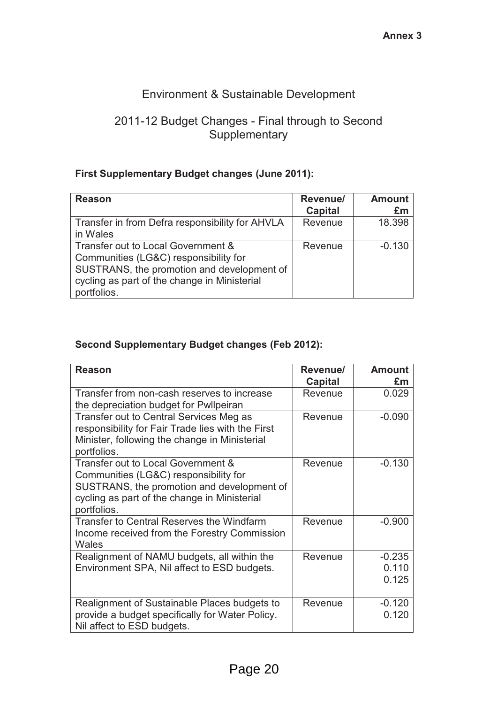## Environment & Sustainable Development

#### 2011-12 Budget Changes - Final through to Second **Supplementary**

#### **First Supplementary Budget changes (June 2011):**

| <b>Reason</b>                                                                                                                                                                            | Revenue/<br><b>Capital</b> | <b>Amount</b><br>£m |
|------------------------------------------------------------------------------------------------------------------------------------------------------------------------------------------|----------------------------|---------------------|
| Transfer in from Defra responsibility for AHVLA<br>in Wales                                                                                                                              | Revenue                    | 18.398              |
| Transfer out to Local Government &<br>Communities (LG&C) responsibility for<br>SUSTRANS, the promotion and development of<br>cycling as part of the change in Ministerial<br>portfolios. | Revenue                    | $-0.130$            |

#### **Second Supplementary Budget changes (Feb 2012):**

| <b>Reason</b>                                                                                                                                                                            | Revenue/<br>Capital | <b>Amount</b><br>£m        |
|------------------------------------------------------------------------------------------------------------------------------------------------------------------------------------------|---------------------|----------------------------|
| Transfer from non-cash reserves to increase<br>the depreciation budget for Pwllpeiran                                                                                                    | Revenue             | 0.029                      |
| Transfer out to Central Services Meg as<br>responsibility for Fair Trade lies with the First<br>Minister, following the change in Ministerial<br>portfolios.                             | Revenue             | $-0.090$                   |
| Transfer out to Local Government &<br>Communities (LG&C) responsibility for<br>SUSTRANS, the promotion and development of<br>cycling as part of the change in Ministerial<br>portfolios. | Revenue             | $-0.130$                   |
| <b>Transfer to Central Reserves the Windfarm</b><br>Income received from the Forestry Commission<br>Wales                                                                                | Revenue             | $-0.900$                   |
| Realignment of NAMU budgets, all within the<br>Environment SPA, Nil affect to ESD budgets.                                                                                               | Revenue             | $-0.235$<br>0.110<br>0.125 |
| Realignment of Sustainable Places budgets to<br>provide a budget specifically for Water Policy.<br>Nil affect to ESD budgets.                                                            | Revenue             | $-0.120$<br>0.120          |